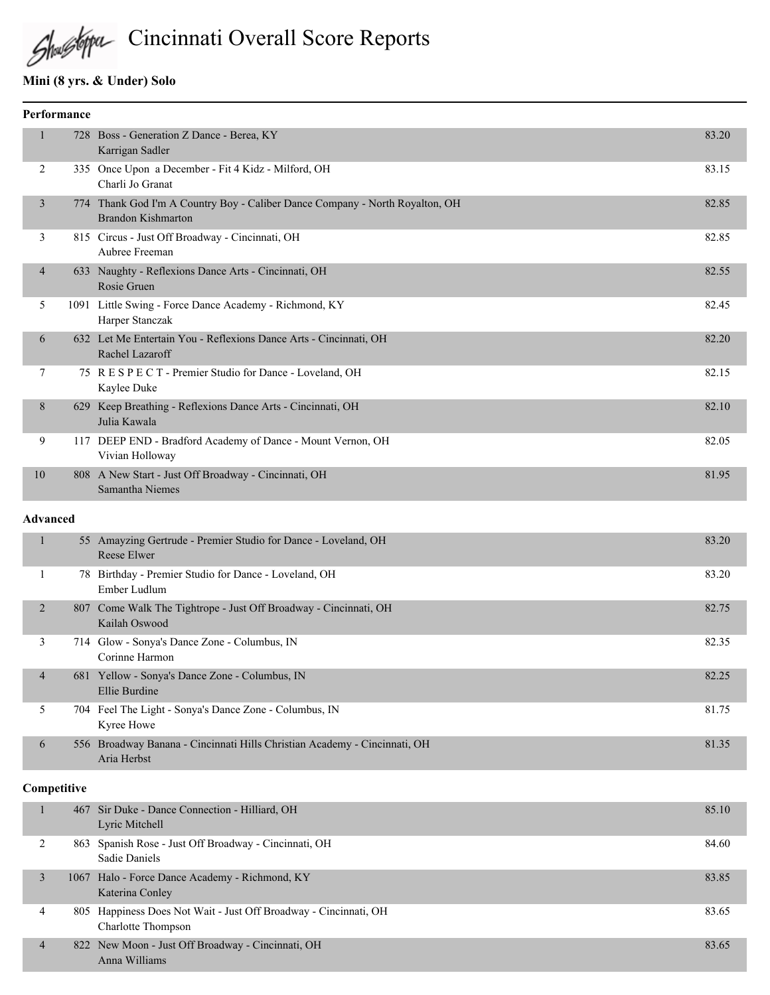

Cincinnati Overall Score Reports

#### **Mini (8 yrs. & Under) Solo**

|                 | Performance |                                                                                                           |       |
|-----------------|-------------|-----------------------------------------------------------------------------------------------------------|-------|
| $\mathbf{1}$    |             | 728 Boss - Generation Z Dance - Berea, KY<br>Karrigan Sadler                                              | 83.20 |
| 2               |             | 335 Once Upon a December - Fit 4 Kidz - Milford, OH<br>Charli Jo Granat                                   | 83.15 |
| 3               |             | 774 Thank God I'm A Country Boy - Caliber Dance Company - North Royalton, OH<br><b>Brandon Kishmarton</b> | 82.85 |
| 3               |             | 815 Circus - Just Off Broadway - Cincinnati, OH<br>Aubree Freeman                                         | 82.85 |
| $\overline{4}$  |             | 633 Naughty - Reflexions Dance Arts - Cincinnati, OH<br>Rosie Gruen                                       | 82.55 |
| 5               |             | 1091 Little Swing - Force Dance Academy - Richmond, KY<br>Harper Stanczak                                 | 82.45 |
| 6               |             | 632 Let Me Entertain You - Reflexions Dance Arts - Cincinnati, OH<br>Rachel Lazaroff                      | 82.20 |
| 7               |             | 75 R E S P E C T - Premier Studio for Dance - Loveland, OH<br>Kaylee Duke                                 | 82.15 |
| 8               |             | 629 Keep Breathing - Reflexions Dance Arts - Cincinnati, OH<br>Julia Kawala                               | 82.10 |
| 9               |             | 117 DEEP END - Bradford Academy of Dance - Mount Vernon, OH<br>Vivian Holloway                            | 82.05 |
| 10              |             | 808 A New Start - Just Off Broadway - Cincinnati, OH<br>Samantha Niemes                                   | 81.95 |
| <b>Advanced</b> |             |                                                                                                           |       |
| $\mathbf{1}$    |             | 55 Amayzing Gertrude - Premier Studio for Dance - Loveland, OH<br>Reese Elwer                             | 83.20 |
| -1              |             | 78 Birthday - Premier Studio for Dance - Loveland, OH<br>Ember Ludlum                                     | 83.20 |
| 2               |             | 807 Come Walk The Tightrope - Just Off Broadway - Cincinnati, OH<br>Kailah Oswood                         | 82.75 |
| 3               |             | 714 Glow - Sonya's Dance Zone - Columbus, IN<br>Corinne Harmon                                            | 82.35 |
| $\overline{4}$  |             | 681 Yellow - Sonya's Dance Zone - Columbus, IN<br>Ellie Burdine                                           | 82.25 |
| 5               |             | 704 Feel The Light - Sonya's Dance Zone - Columbus, IN<br>Kyree Howe                                      | 81.75 |
| 6               |             | 556 Broadway Banana - Cincinnati Hills Christian Academy - Cincinnati, OH<br>Aria Herbst                  | 81.35 |

#### **Competitive**

|   | 467 Sir Duke - Dance Connection - Hilliard, OH<br>Lyric Mitchell                       | 85.10 |
|---|----------------------------------------------------------------------------------------|-------|
|   | 863 Spanish Rose - Just Off Broadway - Cincinnati, OH<br>Sadie Daniels                 | 84.60 |
|   | 1067 Halo - Force Dance Academy - Richmond, KY<br>Katerina Conley                      | 83.85 |
| 4 | 805 Happiness Does Not Wait - Just Off Broadway - Cincinnati, OH<br>Charlotte Thompson | 83.65 |
| 4 | 822 New Moon - Just Off Broadway - Cincinnati, OH<br>Anna Williams                     | 83.65 |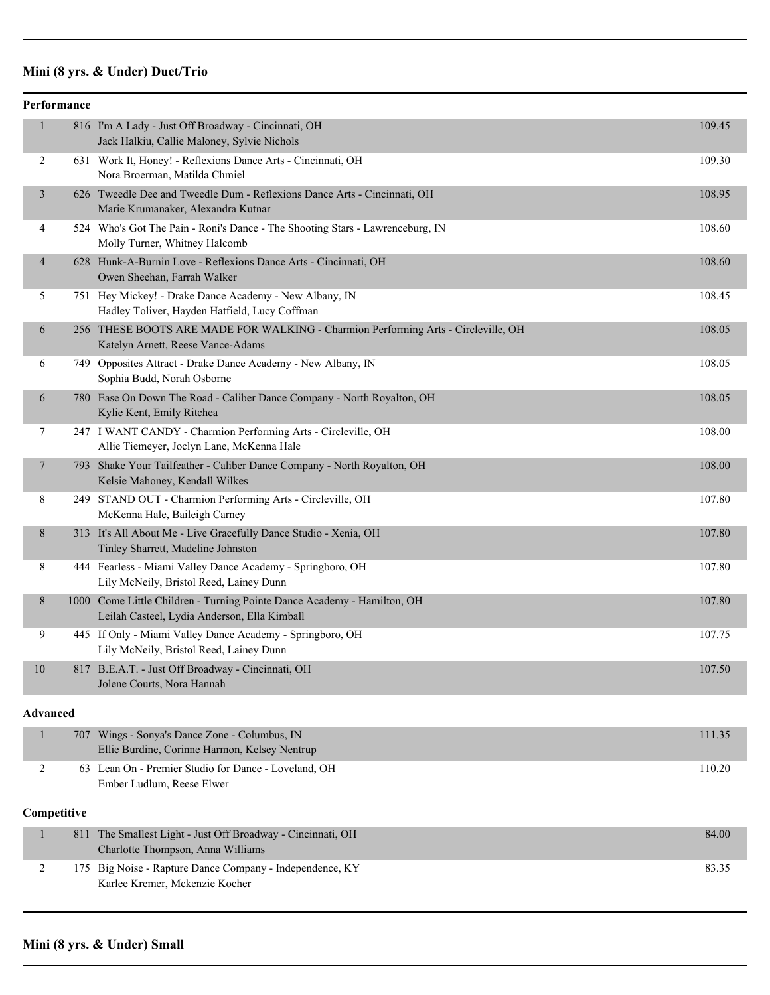# **Mini (8 yrs. & Under) Duet/Trio**

|                 | Performance |                                                                                                                         |        |
|-----------------|-------------|-------------------------------------------------------------------------------------------------------------------------|--------|
| $\mathbf{1}$    |             | 816 I'm A Lady - Just Off Broadway - Cincinnati, OH<br>Jack Halkiu, Callie Maloney, Sylvie Nichols                      | 109.45 |
| $\overline{c}$  |             | 631 Work It, Honey! - Reflexions Dance Arts - Cincinnati, OH<br>Nora Broerman, Matilda Chmiel                           | 109.30 |
| 3               |             | 626 Tweedle Dee and Tweedle Dum - Reflexions Dance Arts - Cincinnati, OH<br>Marie Krumanaker, Alexandra Kutnar          | 108.95 |
| 4               |             | 524 Who's Got The Pain - Roni's Dance - The Shooting Stars - Lawrenceburg, IN<br>Molly Turner, Whitney Halcomb          | 108.60 |
| 4               |             | 628 Hunk-A-Burnin Love - Reflexions Dance Arts - Cincinnati, OH<br>Owen Sheehan, Farrah Walker                          | 108.60 |
| 5               |             | 751 Hey Mickey! - Drake Dance Academy - New Albany, IN<br>Hadley Toliver, Hayden Hatfield, Lucy Coffman                 | 108.45 |
| 6               |             | 256 THESE BOOTS ARE MADE FOR WALKING - Charmion Performing Arts - Circleville, OH<br>Katelyn Arnett, Reese Vance-Adams  | 108.05 |
| 6               |             | 749 Opposites Attract - Drake Dance Academy - New Albany, IN<br>Sophia Budd, Norah Osborne                              | 108.05 |
| 6               |             | 780 Ease On Down The Road - Caliber Dance Company - North Royalton, OH<br>Kylie Kent, Emily Ritchea                     | 108.05 |
| 7               |             | 247 I WANT CANDY - Charmion Performing Arts - Circleville, OH<br>Allie Tiemeyer, Joclyn Lane, McKenna Hale              | 108.00 |
| $\overline{7}$  |             | 793 Shake Your Tailfeather - Caliber Dance Company - North Royalton, OH<br>Kelsie Mahoney, Kendall Wilkes               | 108.00 |
| 8               |             | 249 STAND OUT - Charmion Performing Arts - Circleville, OH<br>McKenna Hale, Baileigh Carney                             | 107.80 |
| 8               |             | 313 It's All About Me - Live Gracefully Dance Studio - Xenia, OH<br>Tinley Sharrett, Madeline Johnston                  | 107.80 |
| 8               |             | 444 Fearless - Miami Valley Dance Academy - Springboro, OH<br>Lily McNeily, Bristol Reed, Lainey Dunn                   | 107.80 |
| 8               |             | 1000 Come Little Children - Turning Pointe Dance Academy - Hamilton, OH<br>Leilah Casteel, Lydia Anderson, Ella Kimball | 107.80 |
| 9               |             | 445 If Only - Miami Valley Dance Academy - Springboro, OH<br>Lily McNeily, Bristol Reed, Lainey Dunn                    | 107.75 |
| 10              |             | 817 B.E.A.T. - Just Off Broadway - Cincinnati, OH<br>Jolene Courts, Nora Hannah                                         | 107.50 |
| <b>Advanced</b> |             |                                                                                                                         |        |
| 1               | 707         | Wings - Sonya's Dance Zone - Columbus, IN<br>Ellie Burdine, Corinne Harmon, Kelsey Nentrup                              | 111.35 |
| 2               |             | 63 Lean On - Premier Studio for Dance - Loveland, OH<br>Ember Ludlum, Reese Elwer                                       | 110.20 |
| Competitive     |             |                                                                                                                         |        |
| $\mathbf{1}$    | 811         | The Smallest Light - Just Off Broadway - Cincinnati, OH<br>Charlotte Thompson, Anna Williams                            | 84.00  |
| 2               |             | 175 Big Noise - Rapture Dance Company - Independence, KY<br>Karlee Kremer, Mckenzie Kocher                              | 83.35  |

#### **Mini (8 yrs. & Under) Small**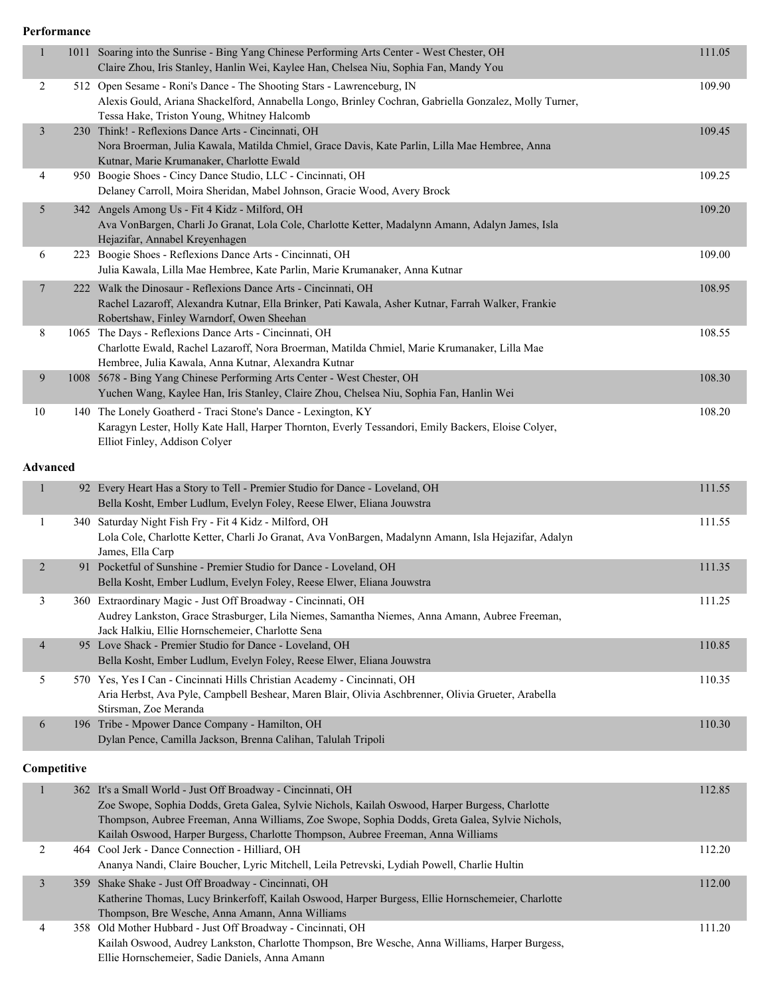**Performance**

| $\mathbf{1}$    |             | 1011 Soaring into the Sunrise - Bing Yang Chinese Performing Arts Center - West Chester, OH<br>Claire Zhou, Iris Stanley, Hanlin Wei, Kaylee Han, Chelsea Niu, Sophia Fan, Mandy You                                                                                                                                                                | 111.05 |
|-----------------|-------------|-----------------------------------------------------------------------------------------------------------------------------------------------------------------------------------------------------------------------------------------------------------------------------------------------------------------------------------------------------|--------|
| 2               |             | 512 Open Sesame - Roni's Dance - The Shooting Stars - Lawrenceburg, IN<br>Alexis Gould, Ariana Shackelford, Annabella Longo, Brinley Cochran, Gabriella Gonzalez, Molly Turner,<br>Tessa Hake, Triston Young, Whitney Halcomb                                                                                                                       | 109.90 |
| $\mathfrak{Z}$  |             | 230 Think! - Reflexions Dance Arts - Cincinnati, OH<br>Nora Broerman, Julia Kawala, Matilda Chmiel, Grace Davis, Kate Parlin, Lilla Mae Hembree, Anna<br>Kutnar, Marie Krumanaker, Charlotte Ewald                                                                                                                                                  | 109.45 |
| 4               |             | 950 Boogie Shoes - Cincy Dance Studio, LLC - Cincinnati, OH<br>Delaney Carroll, Moira Sheridan, Mabel Johnson, Gracie Wood, Avery Brock                                                                                                                                                                                                             | 109.25 |
| 5               |             | 342 Angels Among Us - Fit 4 Kidz - Milford, OH<br>Ava VonBargen, Charli Jo Granat, Lola Cole, Charlotte Ketter, Madalynn Amann, Adalyn James, Isla<br>Hejazifar, Annabel Kreyenhagen                                                                                                                                                                | 109.20 |
| 6               |             | 223 Boogie Shoes - Reflexions Dance Arts - Cincinnati, OH<br>Julia Kawala, Lilla Mae Hembree, Kate Parlin, Marie Krumanaker, Anna Kutnar                                                                                                                                                                                                            | 109.00 |
| 7               |             | 222 Walk the Dinosaur - Reflexions Dance Arts - Cincinnati, OH<br>Rachel Lazaroff, Alexandra Kutnar, Ella Brinker, Pati Kawala, Asher Kutnar, Farrah Walker, Frankie<br>Robertshaw, Finley Warndorf, Owen Sheehan                                                                                                                                   | 108.95 |
| 8               |             | 1065 The Days - Reflexions Dance Arts - Cincinnati, OH<br>Charlotte Ewald, Rachel Lazaroff, Nora Broerman, Matilda Chmiel, Marie Krumanaker, Lilla Mae<br>Hembree, Julia Kawala, Anna Kutnar, Alexandra Kutnar                                                                                                                                      | 108.55 |
| 9               |             | 1008 5678 - Bing Yang Chinese Performing Arts Center - West Chester, OH<br>Yuchen Wang, Kaylee Han, Iris Stanley, Claire Zhou, Chelsea Niu, Sophia Fan, Hanlin Wei                                                                                                                                                                                  | 108.30 |
| 10              |             | 140 The Lonely Goatherd - Traci Stone's Dance - Lexington, KY<br>Karagyn Lester, Holly Kate Hall, Harper Thornton, Everly Tessandori, Emily Backers, Eloise Colyer,<br>Elliot Finley, Addison Colyer                                                                                                                                                | 108.20 |
| <b>Advanced</b> |             |                                                                                                                                                                                                                                                                                                                                                     |        |
| 1               |             | 92 Every Heart Has a Story to Tell - Premier Studio for Dance - Loveland, OH<br>Bella Kosht, Ember Ludlum, Evelyn Foley, Reese Elwer, Eliana Jouwstra                                                                                                                                                                                               | 111.55 |
| $\mathbf{1}$    |             | 340 Saturday Night Fish Fry - Fit 4 Kidz - Milford, OH<br>Lola Cole, Charlotte Ketter, Charli Jo Granat, Ava VonBargen, Madalynn Amann, Isla Hejazifar, Adalyn<br>James, Ella Carp                                                                                                                                                                  | 111.55 |
| 2               |             | 91 Pocketful of Sunshine - Premier Studio for Dance - Loveland, OH<br>Bella Kosht, Ember Ludlum, Evelyn Foley, Reese Elwer, Eliana Jouwstra                                                                                                                                                                                                         | 111.35 |
| 3               |             | 360 Extraordinary Magic - Just Off Broadway - Cincinnati, OH<br>Audrey Lankston, Grace Strasburger, Lila Niemes, Samantha Niemes, Anna Amann, Aubree Freeman,<br>Jack Halkiu, Ellie Hornschemeier, Charlotte Sena                                                                                                                                   | 111.25 |
| 4               |             | 95 Love Shack - Premier Studio for Dance - Loveland, OH<br>Bella Kosht, Ember Ludlum, Evelyn Foley, Reese Elwer, Eliana Jouwstra                                                                                                                                                                                                                    | 110.85 |
| 5               |             | 570 Yes, Yes I Can - Cincinnati Hills Christian Academy - Cincinnati, OH<br>Aria Herbst, Ava Pyle, Campbell Beshear, Maren Blair, Olivia Aschbrenner, Olivia Grueter, Arabella<br>Stirsman, Zoe Meranda                                                                                                                                             | 110.35 |
| 6               |             | 196 Tribe - Mpower Dance Company - Hamilton, OH<br>Dylan Pence, Camilla Jackson, Brenna Calihan, Talulah Tripoli                                                                                                                                                                                                                                    | 110.30 |
|                 | Competitive |                                                                                                                                                                                                                                                                                                                                                     |        |
| 1               |             | 362 It's a Small World - Just Off Broadway - Cincinnati, OH<br>Zoe Swope, Sophia Dodds, Greta Galea, Sylvie Nichols, Kailah Oswood, Harper Burgess, Charlotte<br>Thompson, Aubree Freeman, Anna Williams, Zoe Swope, Sophia Dodds, Greta Galea, Sylvie Nichols,<br>Kailah Oswood, Harper Burgess, Charlotte Thompson, Aubree Freeman, Anna Williams | 112.85 |
| 2               |             | 464 Cool Jerk - Dance Connection - Hilliard, OH<br>Ananya Nandi, Claire Boucher, Lyric Mitchell, Leila Petrevski, Lydiah Powell, Charlie Hultin                                                                                                                                                                                                     | 112.20 |
| 3               |             | 359 Shake Shake - Just Off Broadway - Cincinnati, OH<br>Katherine Thomas, Lucy Brinkerfoff, Kailah Oswood, Harper Burgess, Ellie Hornschemeier, Charlotte<br>Thompson, Bre Wesche, Anna Amann, Anna Williams                                                                                                                                        | 112.00 |
| 4               |             | 358 Old Mother Hubbard - Just Off Broadway - Cincinnati, OH<br>Kailah Oswood, Audrey Lankston, Charlotte Thompson, Bre Wesche, Anna Williams, Harper Burgess,<br>Ellie Hornschemeier, Sadie Daniels, Anna Amann                                                                                                                                     | 111.20 |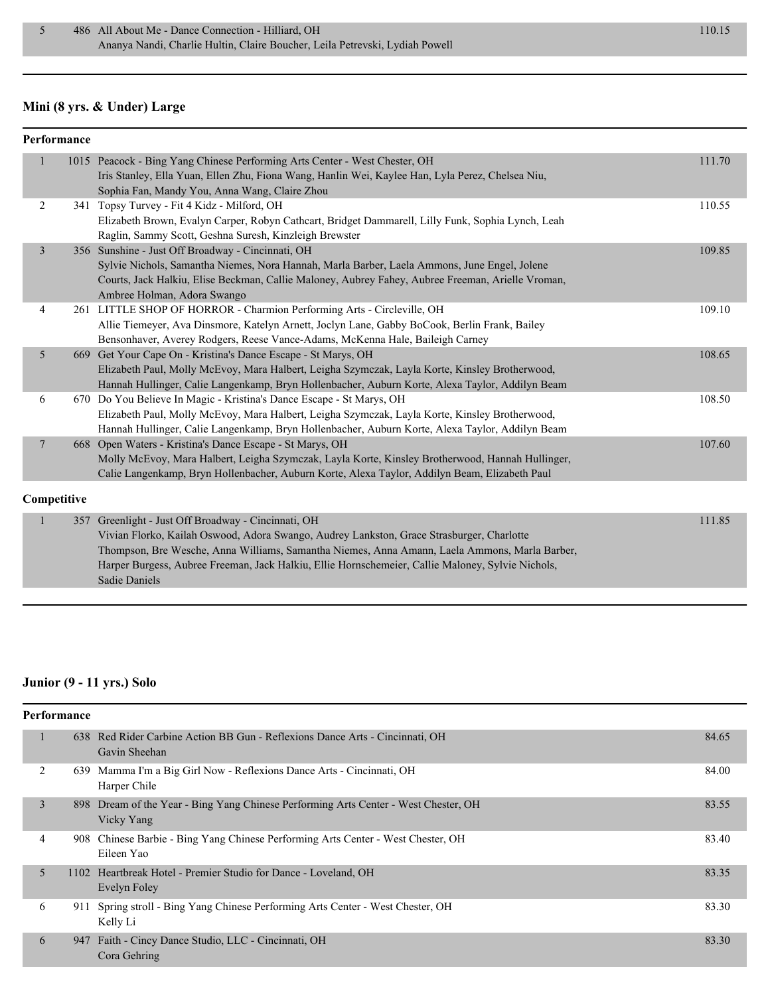#### **Mini (8 yrs. & Under) Large**

| Performance    |                                                                                                                                                                                                                                                                                                                                                                                |        |
|----------------|--------------------------------------------------------------------------------------------------------------------------------------------------------------------------------------------------------------------------------------------------------------------------------------------------------------------------------------------------------------------------------|--------|
|                | 1015 Peacock - Bing Yang Chinese Performing Arts Center - West Chester, OH<br>Iris Stanley, Ella Yuan, Ellen Zhu, Fiona Wang, Hanlin Wei, Kaylee Han, Lyla Perez, Chelsea Niu,<br>Sophia Fan, Mandy You, Anna Wang, Claire Zhou                                                                                                                                                | 111.70 |
| 2              | 341 Topsy Turvey - Fit 4 Kidz - Milford, OH<br>Elizabeth Brown, Evalyn Carper, Robyn Cathcart, Bridget Dammarell, Lilly Funk, Sophia Lynch, Leah<br>Raglin, Sammy Scott, Geshna Suresh, Kinzleigh Brewster                                                                                                                                                                     | 110.55 |
| $\mathfrak{Z}$ | 356 Sunshine - Just Off Broadway - Cincinnati, OH<br>Sylvie Nichols, Samantha Niemes, Nora Hannah, Marla Barber, Laela Ammons, June Engel, Jolene<br>Courts, Jack Halkiu, Elise Beckman, Callie Maloney, Aubrey Fahey, Aubree Freeman, Arielle Vroman,<br>Ambree Holman, Adora Swango                                                                                          | 109.85 |
| 4              | 261 LITTLE SHOP OF HORROR - Charmion Performing Arts - Circleville, OH<br>Allie Tiemeyer, Ava Dinsmore, Katelyn Arnett, Joclyn Lane, Gabby BoCook, Berlin Frank, Bailey<br>Bensonhaver, Averey Rodgers, Reese Vance-Adams, McKenna Hale, Baileigh Carney                                                                                                                       | 109.10 |
| 5              | 669 Get Your Cape On - Kristina's Dance Escape - St Marys, OH<br>Elizabeth Paul, Molly McEvoy, Mara Halbert, Leigha Szymczak, Layla Korte, Kinsley Brotherwood,<br>Hannah Hullinger, Calie Langenkamp, Bryn Hollenbacher, Auburn Korte, Alexa Taylor, Addilyn Beam                                                                                                             | 108.65 |
| 6              | 670 Do You Believe In Magic - Kristina's Dance Escape - St Marys, OH<br>Elizabeth Paul, Molly McEvoy, Mara Halbert, Leigha Szymczak, Layla Korte, Kinsley Brotherwood,<br>Hannah Hullinger, Calie Langenkamp, Bryn Hollenbacher, Auburn Korte, Alexa Taylor, Addilyn Beam                                                                                                      | 108.50 |
| $\overline{7}$ | 668 Open Waters - Kristina's Dance Escape - St Marys, OH<br>Molly McEvoy, Mara Halbert, Leigha Szymczak, Layla Korte, Kinsley Brotherwood, Hannah Hullinger,<br>Calie Langenkamp, Bryn Hollenbacher, Auburn Korte, Alexa Taylor, Addilyn Beam, Elizabeth Paul                                                                                                                  | 107.60 |
| Competitive    |                                                                                                                                                                                                                                                                                                                                                                                |        |
|                | 357 Greenlight - Just Off Broadway - Cincinnati, OH<br>Vivian Florko, Kailah Oswood, Adora Swango, Audrey Lankston, Grace Strasburger, Charlotte<br>Thompson, Bre Wesche, Anna Williams, Samantha Niemes, Anna Amann, Laela Ammons, Marla Barber,<br>Harper Burgess, Aubree Freeman, Jack Halkiu, Ellie Hornschemeier, Callie Maloney, Sylvie Nichols,<br><b>Sadie Daniels</b> | 111.85 |

#### **Junior (9 - 11 yrs.) Solo**

| Performance |     |                                                                                                   |       |
|-------------|-----|---------------------------------------------------------------------------------------------------|-------|
|             |     | 638 Red Rider Carbine Action BB Gun - Reflexions Dance Arts - Cincinnati, OH<br>Gavin Sheehan     | 84.65 |
| 2           | 639 | Mamma I'm a Big Girl Now - Reflexions Dance Arts - Cincinnati, OH<br>Harper Chile                 | 84.00 |
| 3           |     | 898 Dream of the Year - Bing Yang Chinese Performing Arts Center - West Chester, OH<br>Vicky Yang | 83.55 |
| 4           |     | 908 Chinese Barbie - Bing Yang Chinese Performing Arts Center - West Chester, OH<br>Eileen Yao    | 83.40 |
| 5           |     | 1102 Heartbreak Hotel - Premier Studio for Dance - Loveland, OH<br>Evelyn Foley                   | 83.35 |
| 6           | 911 | Spring stroll - Bing Yang Chinese Performing Arts Center - West Chester, OH<br>Kelly Li           | 83.30 |
| 6           | 947 | Faith - Cincy Dance Studio, LLC - Cincinnati, OH<br>Cora Gehring                                  | 83.30 |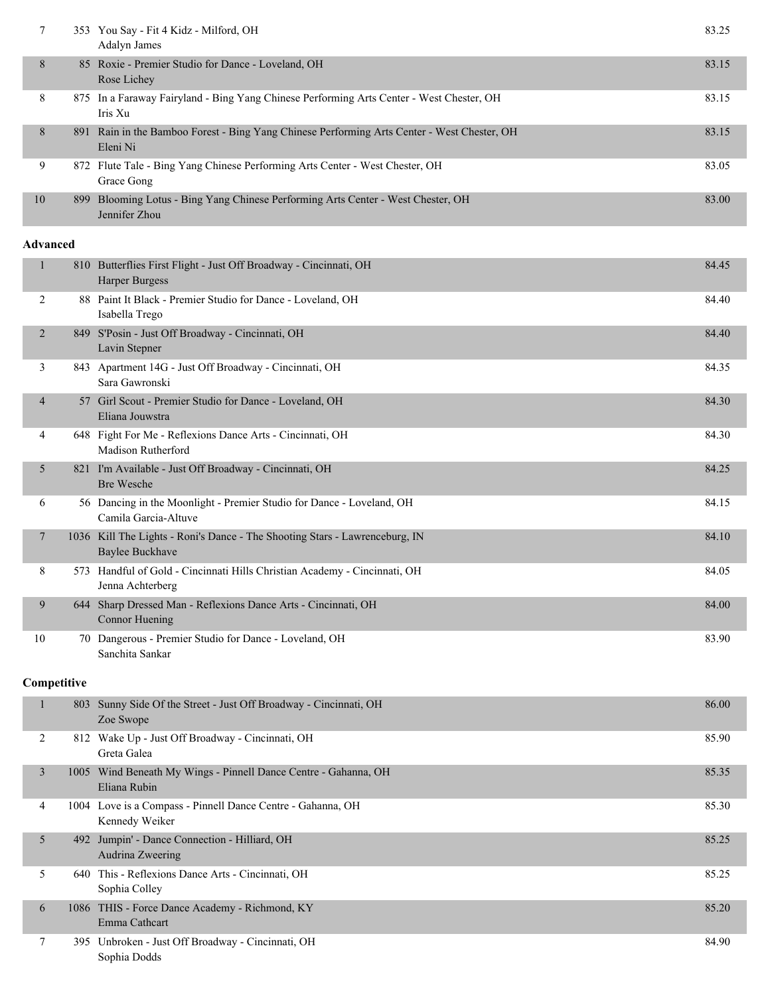| 7                        |             | 353 You Say - Fit 4 Kidz - Milford, OH<br>Adalyn James                                                  | 83.25 |
|--------------------------|-------------|---------------------------------------------------------------------------------------------------------|-------|
| 8                        |             | 85 Roxie - Premier Studio for Dance - Loveland, OH<br>Rose Lichey                                       | 83.15 |
| 8                        |             | 875 In a Faraway Fairyland - Bing Yang Chinese Performing Arts Center - West Chester, OH<br>Iris Xu     | 83.15 |
| 8                        |             | 891 Rain in the Bamboo Forest - Bing Yang Chinese Performing Arts Center - West Chester, OH<br>Eleni Ni | 83.15 |
| 9                        |             | 872 Flute Tale - Bing Yang Chinese Performing Arts Center - West Chester, OH<br>Grace Gong              | 83.05 |
| 10                       | 899         | Blooming Lotus - Bing Yang Chinese Performing Arts Center - West Chester, OH<br>Jennifer Zhou           | 83.00 |
| <b>Advanced</b>          |             |                                                                                                         |       |
| $\mathbf{1}$             |             | 810 Butterflies First Flight - Just Off Broadway - Cincinnati, OH<br>Harper Burgess                     | 84.45 |
| 2                        |             | 88 Paint It Black - Premier Studio for Dance - Loveland, OH<br>Isabella Trego                           | 84.40 |
| $\overline{2}$           |             | 849 S'Posin - Just Off Broadway - Cincinnati, OH<br>Lavin Stepner                                       | 84.40 |
| 3                        |             | 843 Apartment 14G - Just Off Broadway - Cincinnati, OH<br>Sara Gawronski                                | 84.35 |
| 4                        |             | 57 Girl Scout - Premier Studio for Dance - Loveland, OH<br>Eliana Jouwstra                              | 84.30 |
| 4                        |             | 648 Fight For Me - Reflexions Dance Arts - Cincinnati, OH<br>Madison Rutherford                         | 84.30 |
| 5                        |             | 821 I'm Available - Just Off Broadway - Cincinnati, OH<br><b>Bre Wesche</b>                             | 84.25 |
| 6                        |             | 56 Dancing in the Moonlight - Premier Studio for Dance - Loveland, OH<br>Camila Garcia-Altuve           | 84.15 |
| $\overline{\phantom{a}}$ |             | 1036 Kill The Lights - Roni's Dance - The Shooting Stars - Lawrenceburg, IN<br><b>Baylee Buckhave</b>   | 84.10 |
| 8                        |             | 573 Handful of Gold - Cincinnati Hills Christian Academy - Cincinnati, OH<br>Jenna Achterberg           | 84.05 |
| 9                        |             | 644 Sharp Dressed Man - Reflexions Dance Arts - Cincinnati, OH<br><b>Connor Huening</b>                 | 84.00 |
| 10                       |             | 70 Dangerous - Premier Studio for Dance - Loveland, OH<br>Sanchita Sankar                               | 83.90 |
|                          | Competitive |                                                                                                         |       |
| 1                        |             | 803 Sunny Side Of the Street - Just Off Broadway - Cincinnati, OH<br>Zoe Swope                          | 86.00 |
| 2                        |             | 812 Wake Up - Just Off Broadway - Cincinnati, OH<br>Greta Galea                                         | 85.90 |
| 3                        |             | 1005 Wind Beneath My Wings - Pinnell Dance Centre - Gahanna, OH<br>Eliana Rubin                         | 85.35 |
| 4                        |             | 1004 Love is a Compass - Pinnell Dance Centre - Gahanna, OH<br>Kennedy Weiker                           | 85.30 |
| 5                        |             | 492 Jumpin' - Dance Connection - Hilliard, OH<br>Audrina Zweering                                       | 85.25 |
| 5                        |             | 640 This - Reflexions Dance Arts - Cincinnati, OH<br>Sophia Colley                                      | 85.25 |
| 6                        |             | 1086 THIS - Force Dance Academy - Richmond, KY<br>Emma Cathcart                                         | 85.20 |
| 7                        |             | 395 Unbroken - Just Off Broadway - Cincinnati, OH<br>Sophia Dodds                                       | 84.90 |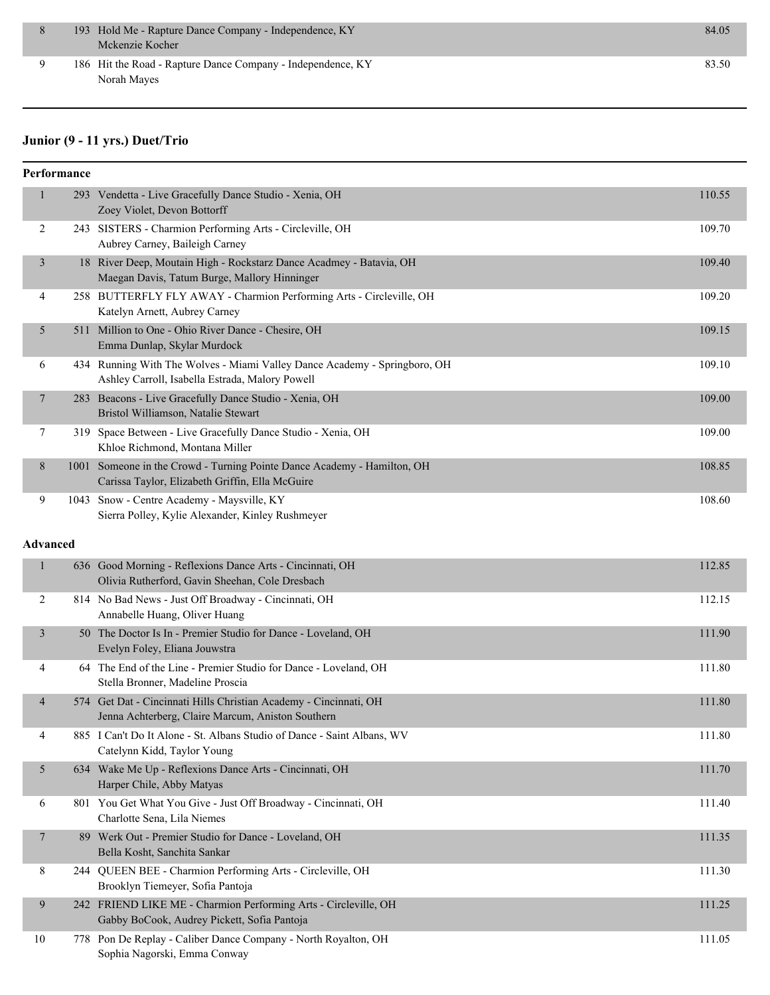|  | 193 Hold Me - Rapture Dance Company - Independence, KY<br>Mckenzie Kocher  | 84.05 |
|--|----------------------------------------------------------------------------|-------|
|  | 186 Hit the Road - Rapture Dance Company - Independence, KY<br>Norah Mayes | 83.50 |

#### **Junior (9 - 11 yrs.) Duet/Trio**

|                 | Performance |                                                                                                                              |        |
|-----------------|-------------|------------------------------------------------------------------------------------------------------------------------------|--------|
| $\mathbf{1}$    |             | 293 Vendetta - Live Gracefully Dance Studio - Xenia, OH<br>Zoey Violet, Devon Bottorff                                       | 110.55 |
| 2               |             | 243 SISTERS - Charmion Performing Arts - Circleville, OH<br>Aubrey Carney, Baileigh Carney                                   | 109.70 |
| 3               |             | 18 River Deep, Moutain High - Rockstarz Dance Acadmey - Batavia, OH<br>Maegan Davis, Tatum Burge, Mallory Hinninger          | 109.40 |
| 4               |             | 258 BUTTERFLY FLY AWAY - Charmion Performing Arts - Circleville, OH<br>Katelyn Arnett, Aubrey Carney                         | 109.20 |
| 5               |             | 511 Million to One - Ohio River Dance - Chesire, OH<br>Emma Dunlap, Skylar Murdock                                           | 109.15 |
| 6               |             | 434 Running With The Wolves - Miami Valley Dance Academy - Springboro, OH<br>Ashley Carroll, Isabella Estrada, Malory Powell | 109.10 |
| 7               |             | 283 Beacons - Live Gracefully Dance Studio - Xenia, OH<br>Bristol Williamson, Natalie Stewart                                | 109.00 |
| 7               |             | 319 Space Between - Live Gracefully Dance Studio - Xenia, OH<br>Khloe Richmond, Montana Miller                               | 109.00 |
| 8               |             | 1001 Someone in the Crowd - Turning Pointe Dance Academy - Hamilton, OH<br>Carissa Taylor, Elizabeth Griffin, Ella McGuire   | 108.85 |
| 9               |             | 1043 Snow - Centre Academy - Maysville, KY<br>Sierra Polley, Kylie Alexander, Kinley Rushmeyer                               | 108.60 |
| <b>Advanced</b> |             |                                                                                                                              |        |
| $\mathbf{1}$    |             | 636 Good Morning - Reflexions Dance Arts - Cincinnati, OH<br>Olivia Rutherford, Gavin Sheehan, Cole Dresbach                 | 112.85 |
| 2               |             | 814 No Bad News - Just Off Broadway - Cincinnati, OH<br>Annabelle Huang, Oliver Huang                                        | 112.15 |
| $\mathfrak{Z}$  |             | 50 The Doctor Is In - Premier Studio for Dance - Loveland, OH<br>Evelyn Foley, Eliana Jouwstra                               | 111.90 |
| 4               |             | 64 The End of the Line - Premier Studio for Dance - Loveland, OH<br>Stella Bronner, Madeline Proscia                         | 111.80 |
| $\overline{4}$  |             | 574 Get Dat - Cincinnati Hills Christian Academy - Cincinnati, OH<br>Jenna Achterberg, Claire Marcum, Aniston Southern       | 111.80 |
| 4               |             | 885 I Can't Do It Alone - St. Albans Studio of Dance - Saint Albans, WV<br>Catelynn Kidd, Taylor Young                       | 111.80 |
| 5               |             | 634 Wake Me Up - Reflexions Dance Arts - Cincinnati, OH<br>Harper Chile, Abby Matyas                                         | 111.70 |
| 6               |             | 801 You Get What You Give - Just Off Broadway - Cincinnati, OH<br>Charlotte Sena, Lila Niemes                                | 111.40 |
| $\overline{7}$  |             | 89 Werk Out - Premier Studio for Dance - Loveland, OH<br>Bella Kosht, Sanchita Sankar                                        | 111.35 |
| 8               |             | 244 QUEEN BEE - Charmion Performing Arts - Circleville, OH<br>Brooklyn Tiemeyer, Sofia Pantoja                               | 111.30 |
| 9               |             | 242 FRIEND LIKE ME - Charmion Performing Arts - Circleville, OH<br>Gabby BoCook, Audrey Pickett, Sofia Pantoja               | 111.25 |
| 10              |             | 778 Pon De Replay - Caliber Dance Company - North Royalton, OH<br>Sophia Nagorski, Emma Conway                               | 111.05 |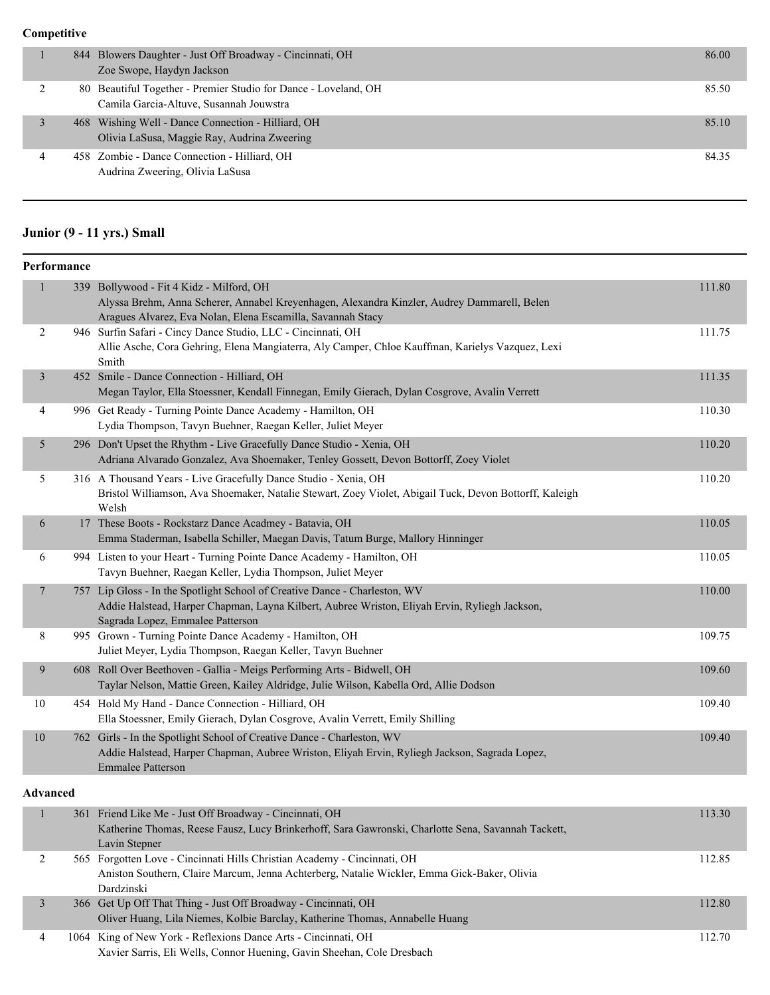#### **Competitive**

|   | 844 Blowers Daughter - Just Off Broadway - Cincinnati, OH<br>Zoe Swope, Haydyn Jackson                     | 86.00 |
|---|------------------------------------------------------------------------------------------------------------|-------|
|   | 80 Beautiful Together - Premier Studio for Dance - Loveland, OH<br>Camila Garcia-Altuve, Susannah Jouwstra | 85.50 |
|   | 468 Wishing Well - Dance Connection - Hilliard, OH<br>Olivia LaSusa, Maggie Ray, Audrina Zweering          | 85.10 |
| 4 | 458 Zombie - Dance Connection - Hilliard, OH<br>Audrina Zweering, Olivia LaSusa                            | 84.35 |

# **Junior (9 - 11 yrs.) Small**

| Performance             |                                                                                                                                                                                                                 |        |
|-------------------------|-----------------------------------------------------------------------------------------------------------------------------------------------------------------------------------------------------------------|--------|
| $\mathbf{1}$            | 339 Bollywood - Fit 4 Kidz - Milford, OH<br>Alyssa Brehm, Anna Scherer, Annabel Kreyenhagen, Alexandra Kinzler, Audrey Dammarell, Belen<br>Aragues Alvarez, Eva Nolan, Elena Escamilla, Savannah Stacy          | 111.80 |
| 2                       | 946 Surfin Safari - Cincy Dance Studio, LLC - Cincinnati, OH<br>Allie Asche, Cora Gehring, Elena Mangiaterra, Aly Camper, Chloe Kauffman, Karielys Vazquez, Lexi<br>Smith                                       | 111.75 |
| $\overline{\mathbf{3}}$ | 452 Smile - Dance Connection - Hilliard, OH<br>Megan Taylor, Ella Stoessner, Kendall Finnegan, Emily Gierach, Dylan Cosgrove, Avalin Verrett                                                                    | 111.35 |
| 4                       | 996 Get Ready - Turning Pointe Dance Academy - Hamilton, OH<br>Lydia Thompson, Tavyn Buehner, Raegan Keller, Juliet Meyer                                                                                       | 110.30 |
| 5                       | 296 Don't Upset the Rhythm - Live Gracefully Dance Studio - Xenia, OH<br>Adriana Alvarado Gonzalez, Ava Shoemaker, Tenley Gossett, Devon Bottorff, Zoey Violet                                                  | 110.20 |
| 5                       | 316 A Thousand Years - Live Gracefully Dance Studio - Xenia, OH<br>Bristol Williamson, Ava Shoemaker, Natalie Stewart, Zoey Violet, Abigail Tuck, Devon Bottorff, Kaleigh<br>Welsh                              | 110.20 |
| 6                       | 17 These Boots - Rockstarz Dance Acadmey - Batavia, OH<br>Emma Staderman, Isabella Schiller, Maegan Davis, Tatum Burge, Mallory Hinninger                                                                       | 110.05 |
| 6                       | 994 Listen to your Heart - Turning Pointe Dance Academy - Hamilton, OH<br>Tavyn Buehner, Raegan Keller, Lydia Thompson, Juliet Meyer                                                                            | 110.05 |
| 7                       | 757 Lip Gloss - In the Spotlight School of Creative Dance - Charleston, WV<br>Addie Halstead, Harper Chapman, Layna Kilbert, Aubree Wriston, Eliyah Ervin, Ryliegh Jackson,<br>Sagrada Lopez, Emmalee Patterson | 110.00 |
| 8                       | 995 Grown - Turning Pointe Dance Academy - Hamilton, OH<br>Juliet Meyer, Lydia Thompson, Raegan Keller, Tavyn Buehner                                                                                           | 109.75 |
| $\overline{9}$          | 608 Roll Over Beethoven - Gallia - Meigs Performing Arts - Bidwell, OH<br>Taylar Nelson, Mattie Green, Kailey Aldridge, Julie Wilson, Kabella Ord, Allie Dodson                                                 | 109.60 |
| 10                      | 454 Hold My Hand - Dance Connection - Hilliard, OH<br>Ella Stoessner, Emily Gierach, Dylan Cosgrove, Avalin Verrett, Emily Shilling                                                                             | 109.40 |
| 10                      | 762 Girls - In the Spotlight School of Creative Dance - Charleston, WV<br>Addie Halstead, Harper Chapman, Aubree Wriston, Eliyah Ervin, Ryliegh Jackson, Sagrada Lopez,<br><b>Emmalee Patterson</b>             | 109.40 |
| Advanced                |                                                                                                                                                                                                                 |        |
| $\perp$                 | 361 Friend Like Me - Just Off Broadway - Cincinnati, OH<br>Katherine Thomas, Reese Fausz, Lucy Brinkerhoff, Sara Gawronski, Charlotte Sena, Savannah Tackett,<br>Lavin Stepner                                  | 113.30 |
| $\overline{c}$          | 565 Forgotten Love - Cincinnati Hills Christian Academy - Cincinnati, OH<br>Aniston Southern, Claire Marcum, Jenna Achterberg, Natalie Wickler, Emma Gick-Baker, Olivia<br>Dardzinski                           | 112.85 |
| $\mathfrak{Z}$          | 366 Get Up Off That Thing - Just Off Broadway - Cincinnati, OH<br>Oliver Huang, Lila Niemes, Kolbie Barclay, Katherine Thomas, Annabelle Huang                                                                  | 112.80 |
| 4                       | 1064 King of New York - Reflexions Dance Arts - Cincinnati, OH<br>Xavier Sarris, Eli Wells, Connor Huening, Gavin Sheehan, Cole Dresbach                                                                        | 112.70 |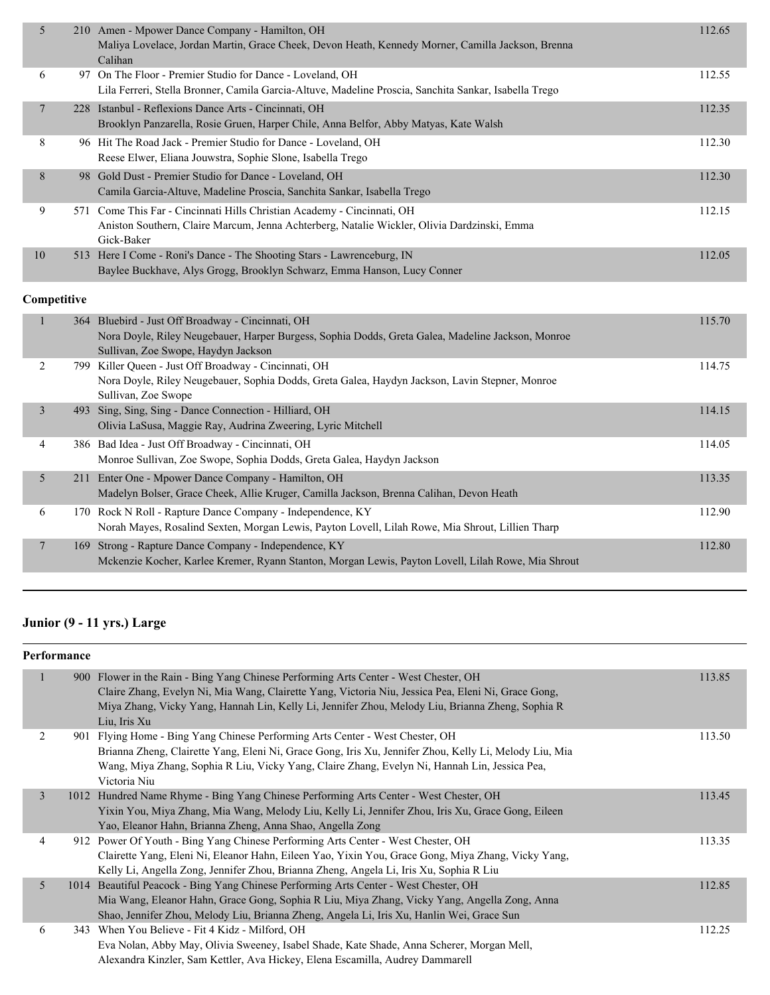| 5              | 210 Amen - Mpower Dance Company - Hamilton, OH<br>Maliya Lovelace, Jordan Martin, Grace Cheek, Devon Heath, Kennedy Morner, Camilla Jackson, Brenna<br>Calihan                                 | 112.65 |
|----------------|------------------------------------------------------------------------------------------------------------------------------------------------------------------------------------------------|--------|
| 6              | 97 On The Floor - Premier Studio for Dance - Loveland, OH<br>Lila Ferreri, Stella Bronner, Camila Garcia-Altuve, Madeline Proscia, Sanchita Sankar, Isabella Trego                             | 112.55 |
| $\tau$         | 228 Istanbul - Reflexions Dance Arts - Cincinnati, OH<br>Brooklyn Panzarella, Rosie Gruen, Harper Chile, Anna Belfor, Abby Matyas, Kate Walsh                                                  | 112.35 |
| 8              | 96 Hit The Road Jack - Premier Studio for Dance - Loveland, OH<br>Reese Elwer, Eliana Jouwstra, Sophie Slone, Isabella Trego                                                                   | 112.30 |
| 8              | 98 Gold Dust - Premier Studio for Dance - Loveland, OH<br>Camila Garcia-Altuve, Madeline Proscia, Sanchita Sankar, Isabella Trego                                                              | 112.30 |
| 9              | 571 Come This Far - Cincinnati Hills Christian Academy - Cincinnati, OH<br>Aniston Southern, Claire Marcum, Jenna Achterberg, Natalie Wickler, Olivia Dardzinski, Emma<br>Gick-Baker           | 112.15 |
|                | 513 Here I Come - Roni's Dance - The Shooting Stars - Lawrenceburg, IN                                                                                                                         | 112.05 |
| 10             | Baylee Buckhave, Alys Grogg, Brooklyn Schwarz, Emma Hanson, Lucy Conner                                                                                                                        |        |
| Competitive    |                                                                                                                                                                                                |        |
| 1              | 364 Bluebird - Just Off Broadway - Cincinnati, OH<br>Nora Doyle, Riley Neugebauer, Harper Burgess, Sophia Dodds, Greta Galea, Madeline Jackson, Monroe                                         | 115.70 |
| 2              | Sullivan, Zoe Swope, Haydyn Jackson<br>799 Killer Queen - Just Off Broadway - Cincinnati, OH<br>Nora Doyle, Riley Neugebauer, Sophia Dodds, Greta Galea, Haydyn Jackson, Lavin Stepner, Monroe | 114.75 |
| $\overline{3}$ | Sullivan, Zoe Swope<br>493 Sing, Sing, Sing - Dance Connection - Hilliard, OH<br>Olivia LaSusa, Maggie Ray, Audrina Zweering, Lyric Mitchell                                                   | 114.15 |
| 4              | 386 Bad Idea - Just Off Broadway - Cincinnati, OH<br>Monroe Sullivan, Zoe Swope, Sophia Dodds, Greta Galea, Haydyn Jackson                                                                     | 114.05 |
| 5              | 211 Enter One - Mpower Dance Company - Hamilton, OH<br>Madelyn Bolser, Grace Cheek, Allie Kruger, Camilla Jackson, Brenna Calihan, Devon Heath                                                 | 113.35 |
| 6              | 170 Rock N Roll - Rapture Dance Company - Independence, KY<br>Norah Mayes, Rosalind Sexten, Morgan Lewis, Payton Lovell, Lilah Rowe, Mia Shrout, Lillien Tharp                                 | 112.90 |

# **Junior (9 - 11 yrs.) Large**

|                | Performance |                                                                                                                                                                                                                                                                                                                 |        |
|----------------|-------------|-----------------------------------------------------------------------------------------------------------------------------------------------------------------------------------------------------------------------------------------------------------------------------------------------------------------|--------|
| 1              |             | 900 Flower in the Rain - Bing Yang Chinese Performing Arts Center - West Chester, OH<br>Claire Zhang, Evelyn Ni, Mia Wang, Clairette Yang, Victoria Niu, Jessica Pea, Eleni Ni, Grace Gong,<br>Miya Zhang, Vicky Yang, Hannah Lin, Kelly Li, Jennifer Zhou, Melody Liu, Brianna Zheng, Sophia R<br>Liu, Iris Xu | 113.85 |
| 2              |             | 901 Flying Home - Bing Yang Chinese Performing Arts Center - West Chester, OH<br>Brianna Zheng, Clairette Yang, Eleni Ni, Grace Gong, Iris Xu, Jennifer Zhou, Kelly Li, Melody Liu, Mia<br>Wang, Miya Zhang, Sophia R Liu, Vicky Yang, Claire Zhang, Evelyn Ni, Hannah Lin, Jessica Pea,<br>Victoria Niu        | 113.50 |
| $\overline{3}$ |             | 1012 Hundred Name Rhyme - Bing Yang Chinese Performing Arts Center - West Chester, OH<br>Yixin You, Miya Zhang, Mia Wang, Melody Liu, Kelly Li, Jennifer Zhou, Iris Xu, Grace Gong, Eileen<br>Yao, Eleanor Hahn, Brianna Zheng, Anna Shao, Angella Zong                                                         | 113.45 |
| 4              |             | 912 Power Of Youth - Bing Yang Chinese Performing Arts Center - West Chester, OH<br>Clairette Yang, Eleni Ni, Eleanor Hahn, Eileen Yao, Yixin You, Grace Gong, Miya Zhang, Vicky Yang,<br>Kelly Li, Angella Zong, Jennifer Zhou, Brianna Zheng, Angela Li, Iris Xu, Sophia R Liu                                | 113.35 |
| 5              |             | 1014 Beautiful Peacock - Bing Yang Chinese Performing Arts Center - West Chester, OH<br>Mia Wang, Eleanor Hahn, Grace Gong, Sophia R Liu, Miya Zhang, Vicky Yang, Angella Zong, Anna<br>Shao, Jennifer Zhou, Melody Liu, Brianna Zheng, Angela Li, Iris Xu, Hanlin Wei, Grace Sun                               | 112.85 |
| 6              |             | 343 When You Believe - Fit 4 Kidz - Milford, OH<br>Eva Nolan, Abby May, Olivia Sweeney, Isabel Shade, Kate Shade, Anna Scherer, Morgan Mell,<br>Alexandra Kinzler, Sam Kettler, Ava Hickey, Elena Escamilla, Audrey Dammarell                                                                                   | 112.25 |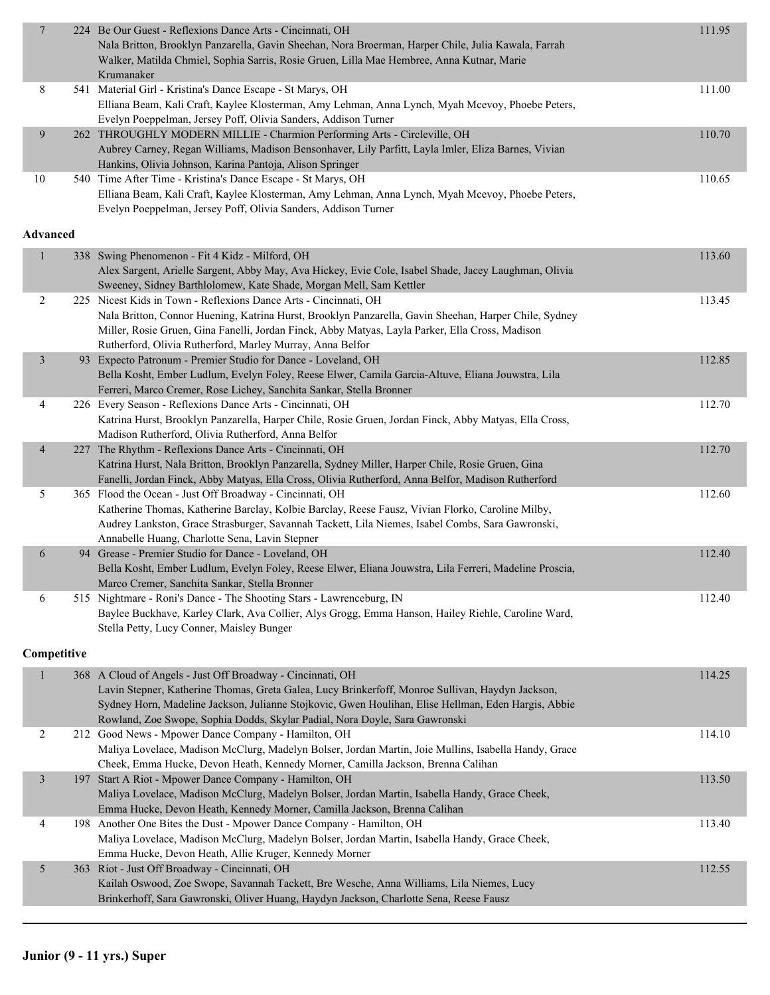| $\overline{7}$  | 224 Be Our Guest - Reflexions Dance Arts - Cincinnati, OH<br>Nala Britton, Brooklyn Panzarella, Gavin Sheehan, Nora Broerman, Harper Chile, Julia Kawala, Farrah<br>Walker, Matilda Chmiel, Sophia Sarris, Rosie Gruen, Lilla Mae Hembree, Anna Kutnar, Marie | 111.95 |
|-----------------|---------------------------------------------------------------------------------------------------------------------------------------------------------------------------------------------------------------------------------------------------------------|--------|
|                 | Krumanaker                                                                                                                                                                                                                                                    |        |
| 8               | 541 Material Girl - Kristina's Dance Escape - St Marys, OH                                                                                                                                                                                                    | 111.00 |
|                 | Elliana Beam, Kali Craft, Kaylee Klosterman, Amy Lehman, Anna Lynch, Myah Mcevoy, Phoebe Peters,                                                                                                                                                              |        |
|                 | Evelyn Poeppelman, Jersey Poff, Olivia Sanders, Addison Turner                                                                                                                                                                                                |        |
| 9               | 262 THROUGHLY MODERN MILLIE - Charmion Performing Arts - Circleville, OH<br>Aubrey Carney, Regan Williams, Madison Bensonhaver, Lily Parfitt, Layla Imler, Eliza Barnes, Vivian                                                                               | 110.70 |
|                 | Hankins, Olivia Johnson, Karina Pantoja, Alison Springer                                                                                                                                                                                                      |        |
| $10\,$          | 540 Time After Time - Kristina's Dance Escape - St Marys, OH                                                                                                                                                                                                  | 110.65 |
|                 | Elliana Beam, Kali Craft, Kaylee Klosterman, Amy Lehman, Anna Lynch, Myah Mcevoy, Phoebe Peters,                                                                                                                                                              |        |
|                 | Evelyn Poeppelman, Jersey Poff, Olivia Sanders, Addison Turner                                                                                                                                                                                                |        |
|                 |                                                                                                                                                                                                                                                               |        |
| <b>Advanced</b> |                                                                                                                                                                                                                                                               |        |
| $\mathbf{1}$    | 338 Swing Phenomenon - Fit 4 Kidz - Milford, OH                                                                                                                                                                                                               | 113.60 |
|                 | Alex Sargent, Arielle Sargent, Abby May, Ava Hickey, Evie Cole, Isabel Shade, Jacey Laughman, Olivia                                                                                                                                                          |        |
|                 | Sweeney, Sidney Barthlolomew, Kate Shade, Morgan Mell, Sam Kettler                                                                                                                                                                                            |        |
| 2               | 225 Nicest Kids in Town - Reflexions Dance Arts - Cincinnati, OH                                                                                                                                                                                              | 113.45 |
|                 | Nala Britton, Connor Huening, Katrina Hurst, Brooklyn Panzarella, Gavin Sheehan, Harper Chile, Sydney                                                                                                                                                         |        |
|                 | Miller, Rosie Gruen, Gina Fanelli, Jordan Finck, Abby Matyas, Layla Parker, Ella Cross, Madison                                                                                                                                                               |        |
|                 | Rutherford, Olivia Rutherford, Marley Murray, Anna Belfor                                                                                                                                                                                                     |        |
| $\mathfrak{Z}$  | 93 Expecto Patronum - Premier Studio for Dance - Loveland, OH                                                                                                                                                                                                 | 112.85 |
|                 | Bella Kosht, Ember Ludlum, Evelyn Foley, Reese Elwer, Camila Garcia-Altuve, Eliana Jouwstra, Lila<br>Ferreri, Marco Cremer, Rose Lichey, Sanchita Sankar, Stella Bronner                                                                                      |        |
| 4               | 226 Every Season - Reflexions Dance Arts - Cincinnati, OH                                                                                                                                                                                                     | 112.70 |
|                 | Katrina Hurst, Brooklyn Panzarella, Harper Chile, Rosie Gruen, Jordan Finck, Abby Matyas, Ella Cross,                                                                                                                                                         |        |
|                 | Madison Rutherford, Olivia Rutherford, Anna Belfor                                                                                                                                                                                                            |        |
| 4               | 227 The Rhythm - Reflexions Dance Arts - Cincinnati, OH                                                                                                                                                                                                       | 112.70 |
|                 | Katrina Hurst, Nala Britton, Brooklyn Panzarella, Sydney Miller, Harper Chile, Rosie Gruen, Gina                                                                                                                                                              |        |
|                 | Fanelli, Jordan Finck, Abby Matyas, Ella Cross, Olivia Rutherford, Anna Belfor, Madison Rutherford                                                                                                                                                            |        |
| 5               | 365 Flood the Ocean - Just Off Broadway - Cincinnati, OH                                                                                                                                                                                                      | 112.60 |
|                 | Katherine Thomas, Katherine Barclay, Kolbie Barclay, Reese Fausz, Vivian Florko, Caroline Milby,                                                                                                                                                              |        |
|                 | Audrey Lankston, Grace Strasburger, Savannah Tackett, Lila Niemes, Isabel Combs, Sara Gawronski,                                                                                                                                                              |        |
|                 | Annabelle Huang, Charlotte Sena, Lavin Stepner<br>94 Grease - Premier Studio for Dance - Loveland, OH                                                                                                                                                         | 112.40 |
| 6               | Bella Kosht, Ember Ludlum, Evelyn Foley, Reese Elwer, Eliana Jouwstra, Lila Ferreri, Madeline Proscia,                                                                                                                                                        |        |
|                 | Marco Cremer, Sanchita Sankar, Stella Bronner                                                                                                                                                                                                                 |        |
| 6               | 515 Nightmare - Roni's Dance - The Shooting Stars - Lawrenceburg, IN                                                                                                                                                                                          | 112.40 |
|                 | Baylee Buckhave, Karley Clark, Ava Collier, Alys Grogg, Emma Hanson, Hailey Riehle, Caroline Ward,                                                                                                                                                            |        |
|                 | Stella Petty, Lucy Conner, Maisley Bunger                                                                                                                                                                                                                     |        |
|                 |                                                                                                                                                                                                                                                               |        |
| Competitive     |                                                                                                                                                                                                                                                               |        |
| $\mathbf{1}$    | 368 A Cloud of Angels - Just Off Broadway - Cincinnati, OH                                                                                                                                                                                                    | 114.25 |
|                 | Lavin Stepner, Katherine Thomas, Greta Galea, Lucy Brinkerfoff, Monroe Sullivan, Haydyn Jackson,                                                                                                                                                              |        |
|                 | Sydney Horn, Madeline Jackson, Julianne Stojkovic, Gwen Houlihan, Elise Hellman, Eden Hargis, Abbie                                                                                                                                                           |        |
|                 | Rowland, Zoe Swope, Sophia Dodds, Skylar Padial, Nora Doyle, Sara Gawronski                                                                                                                                                                                   |        |
| 2               | 212 Good News - Mpower Dance Company - Hamilton, OH                                                                                                                                                                                                           | 114.10 |
|                 | Maliya Lovelace, Madison McClurg, Madelyn Bolser, Jordan Martin, Joie Mullins, Isabella Handy, Grace                                                                                                                                                          |        |
| 3               | Cheek, Emma Hucke, Devon Heath, Kennedy Morner, Camilla Jackson, Brenna Calihan<br>197 Start A Riot - Mpower Dance Company - Hamilton, OH                                                                                                                     | 113.50 |
|                 | Maliya Lovelace, Madison McClurg, Madelyn Bolser, Jordan Martin, Isabella Handy, Grace Cheek,                                                                                                                                                                 |        |
|                 | Emma Hucke, Devon Heath, Kennedy Morner, Camilla Jackson, Brenna Calihan                                                                                                                                                                                      |        |
| 4               | 198 Another One Bites the Dust - Mpower Dance Company - Hamilton, OH                                                                                                                                                                                          | 113.40 |
|                 | Maliya Lovelace, Madison McClurg, Madelyn Bolser, Jordan Martin, Isabella Handy, Grace Cheek,                                                                                                                                                                 |        |
|                 | Emma Hucke, Devon Heath, Allie Kruger, Kennedy Morner                                                                                                                                                                                                         |        |
| 5               | 363 Riot - Just Off Broadway - Cincinnati, OH                                                                                                                                                                                                                 | 112.55 |
|                 | Kailah Oswood, Zoe Swope, Savannah Tackett, Bre Wesche, Anna Williams, Lila Niemes, Lucy                                                                                                                                                                      |        |
|                 | Brinkerhoff, Sara Gawronski, Oliver Huang, Haydyn Jackson, Charlotte Sena, Reese Fausz                                                                                                                                                                        |        |
|                 |                                                                                                                                                                                                                                                               |        |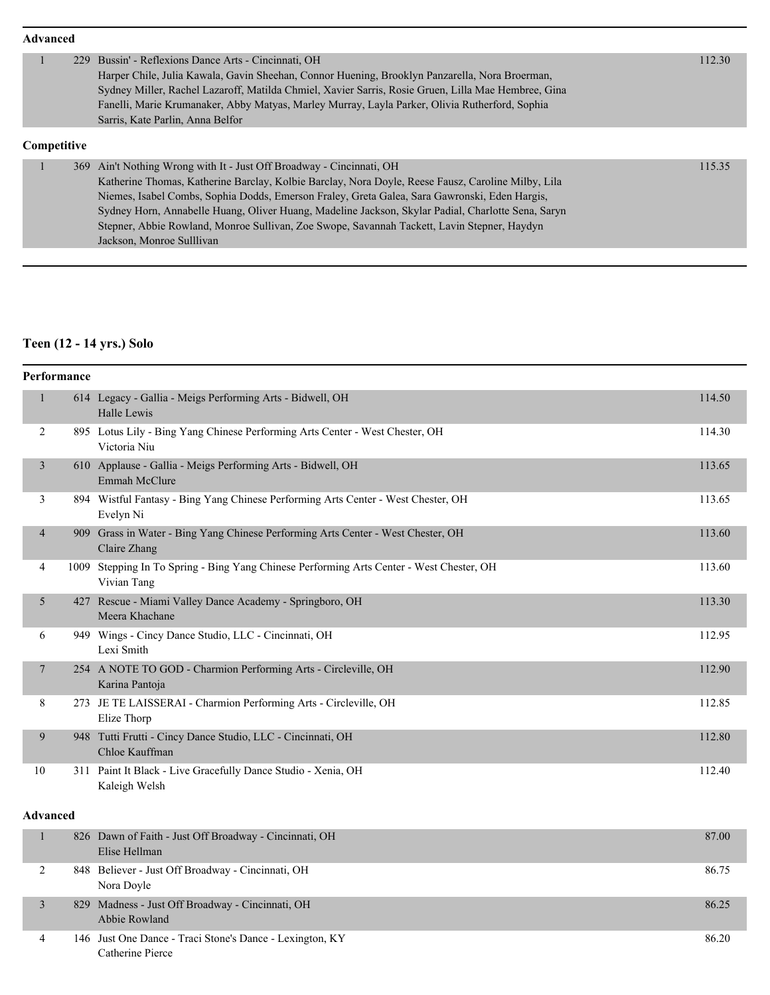|             | <b>Advanced</b> |  |                                                                                                     |  |        |
|-------------|-----------------|--|-----------------------------------------------------------------------------------------------------|--|--------|
|             |                 |  | 229 Bussin' - Reflexions Dance Arts - Cincinnati, OH                                                |  | 112.30 |
|             |                 |  | Harper Chile, Julia Kawala, Gavin Sheehan, Connor Huening, Brooklyn Panzarella, Nora Broerman,      |  |        |
|             |                 |  | Sydney Miller, Rachel Lazaroff, Matilda Chmiel, Xavier Sarris, Rosie Gruen, Lilla Mae Hembree, Gina |  |        |
|             |                 |  | Fanelli, Marie Krumanaker, Abby Matyas, Marley Murray, Layla Parker, Olivia Rutherford, Sophia      |  |        |
|             |                 |  | Sarris, Kate Parlin, Anna Belfor                                                                    |  |        |
| Competitive |                 |  |                                                                                                     |  |        |
|             |                 |  | 369 Ain't Nothing Wrong with It - Just Off Broadway - Cincinnati, OH                                |  | 115.35 |
|             |                 |  | Katherine Thomas, Katherine Barclay, Kolbie Barclay, Nora Doyle, Reese Fausz, Caroline Milby, Lila  |  |        |
|             |                 |  | Niemes, Isabel Combs, Sophia Dodds, Emerson Fraley, Greta Galea, Sara Gawronski, Eden Hargis,       |  |        |
|             |                 |  | Sydney Horn, Annabelle Huang, Oliver Huang, Madeline Jackson, Skylar Padial, Charlotte Sena, Saryn  |  |        |
|             |                 |  | Stepner, Abbie Rowland, Monroe Sullivan, Zoe Swope, Savannah Tackett, Lavin Stepner, Haydyn         |  |        |
|             |                 |  | Jackson, Monroe Sulllivan                                                                           |  |        |
|             |                 |  |                                                                                                     |  |        |

# **Teen (12 - 14 yrs.) Solo**

| Performance     |                                                                                                         |        |
|-----------------|---------------------------------------------------------------------------------------------------------|--------|
| 1               | 614 Legacy - Gallia - Meigs Performing Arts - Bidwell, OH<br>Halle Lewis                                | 114.50 |
| 2               | 895 Lotus Lily - Bing Yang Chinese Performing Arts Center - West Chester, OH<br>Victoria Niu            | 114.30 |
| $\overline{3}$  | 610 Applause - Gallia - Meigs Performing Arts - Bidwell, OH<br>Emmah McClure                            | 113.65 |
| 3               | 894 Wistful Fantasy - Bing Yang Chinese Performing Arts Center - West Chester, OH<br>Evelyn Ni          | 113.65 |
| 4               | 909 Grass in Water - Bing Yang Chinese Performing Arts Center - West Chester, OH<br>Claire Zhang        | 113.60 |
| 4               | 1009 Stepping In To Spring - Bing Yang Chinese Performing Arts Center - West Chester, OH<br>Vivian Tang | 113.60 |
| 5               | 427 Rescue - Miami Valley Dance Academy - Springboro, OH<br>Meera Khachane                              | 113.30 |
| 6               | 949 Wings - Cincy Dance Studio, LLC - Cincinnati, OH<br>Lexi Smith                                      | 112.95 |
| $\tau$          | 254 A NOTE TO GOD - Charmion Performing Arts - Circleville, OH<br>Karina Pantoja                        | 112.90 |
| 8               | 273 JE TE LAISSERAI - Charmion Performing Arts - Circleville, OH<br>Elize Thorp                         | 112.85 |
| 9               | 948 Tutti Frutti - Cincy Dance Studio, LLC - Cincinnati, OH<br>Chloe Kauffman                           | 112.80 |
| 10              | 311 Paint It Black - Live Gracefully Dance Studio - Xenia, OH<br>Kaleigh Welsh                          | 112.40 |
| <b>Advanced</b> |                                                                                                         |        |
| $\mathbf{1}$    | 826 Dawn of Faith - Just Off Broadway - Cincinnati, OH<br>Elise Hellman                                 | 87.00  |

|  | Elise Hellman                                            |       |
|--|----------------------------------------------------------|-------|
|  | 848 Believer - Just Off Broadway - Cincinnati, OH        | 86.75 |
|  | Nora Doyle                                               |       |
|  | 829 Madness - Just Off Broadway - Cincinnati, OH         | 86.25 |
|  | Abbie Rowland                                            |       |
|  | 146 Just One Dance - Traci Stone's Dance - Lexington, KY | 86.20 |
|  | Catherine Pierce                                         |       |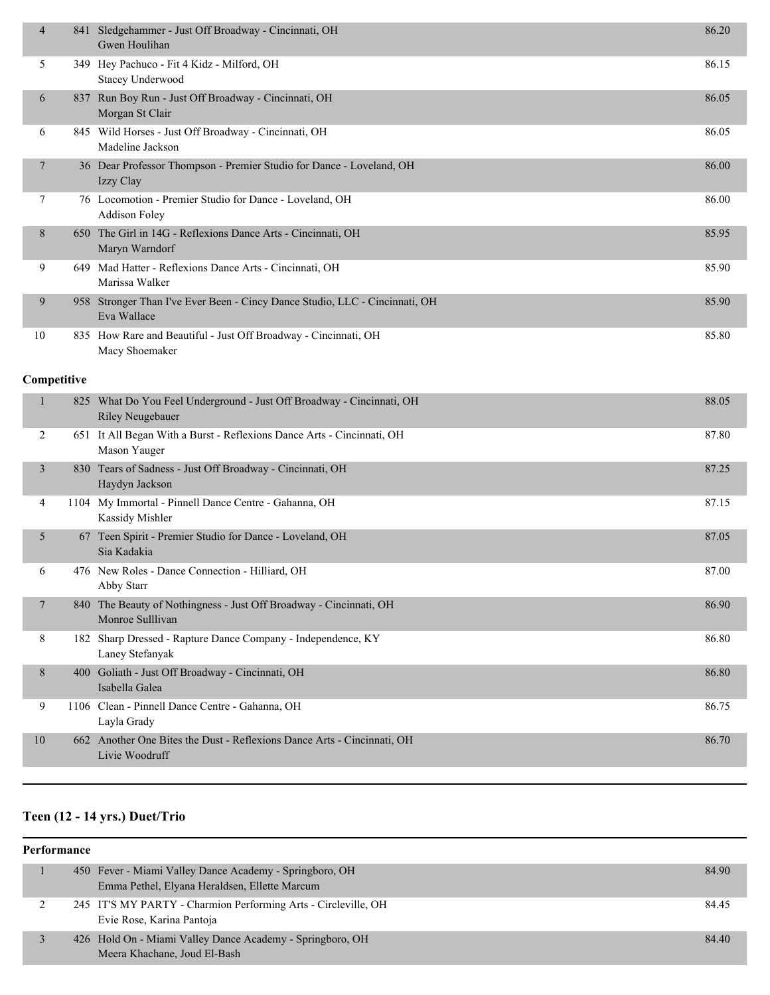| 4              | 841 Sledgehammer - Just Off Broadway - Cincinnati, OH<br>Gwen Houlihan                     | 86.20 |
|----------------|--------------------------------------------------------------------------------------------|-------|
| 5              | 349 Hey Pachuco - Fit 4 Kidz - Milford, OH<br><b>Stacey Underwood</b>                      | 86.15 |
| 6              | 837 Run Boy Run - Just Off Broadway - Cincinnati, OH<br>Morgan St Clair                    | 86.05 |
| 6              | 845 Wild Horses - Just Off Broadway - Cincinnati, OH<br>Madeline Jackson                   | 86.05 |
| 7              | 36 Dear Professor Thompson - Premier Studio for Dance - Loveland, OH<br>Izzy Clay          | 86.00 |
| 7              | 76 Locomotion - Premier Studio for Dance - Loveland, OH<br><b>Addison Foley</b>            | 86.00 |
| 8              | 650 The Girl in 14G - Reflexions Dance Arts - Cincinnati, OH<br>Maryn Warndorf             | 85.95 |
| 9              | 649 Mad Hatter - Reflexions Dance Arts - Cincinnati, OH<br>Marissa Walker                  | 85.90 |
| 9              | 958 Stronger Than I've Ever Been - Cincy Dance Studio, LLC - Cincinnati, OH<br>Eva Wallace | 85.90 |
| 10             | 835 How Rare and Beautiful - Just Off Broadway - Cincinnati, OH<br>Macy Shoemaker          | 85.80 |
| Competitive    |                                                                                            |       |
| $\mathbf{1}$   | 825 What Do You Feel Underground - Just Off Broadway - Cincinnati, OH<br>Riley Neugebauer  | 88.05 |
| $\overline{2}$ | 651 It All Began With a Burst - Reflexions Dance Arts - Cincinnati, OH<br>Mason Yauger     | 87.80 |
| 3              | 830 Tears of Sadness - Just Off Broadway - Cincinnati, OH<br>Haydyn Jackson                | 87.25 |
| 4              | 1104 My Immortal - Pinnell Dance Centre - Gahanna, OH<br>Kassidy Mishler                   | 87.15 |
| 5              | 67 Teen Spirit - Premier Studio for Dance - Loveland, OH<br>Sia Kadakia                    | 87.05 |
| 6              | 476 New Roles - Dance Connection - Hilliard, OH<br>Abby Starr                              | 87.00 |
| 7              | 840 The Beauty of Nothingness - Just Off Broadway - Cincinnati, OH<br>Monroe Sulllivan     | 86.90 |
| 8              | 182 Sharp Dressed - Rapture Dance Company - Independence, KY<br>Laney Stefanyak            | 86.80 |
| 8              | 400 Goliath - Just Off Broadway - Cincinnati, OH<br>Isabella Galea                         | 86.80 |
| 9              | 1106 Clean - Pinnell Dance Centre - Gahanna, OH<br>Layla Grady                             | 86.75 |
| 10             | 662 Another One Bites the Dust - Reflexions Dance Arts - Cincinnati, OH<br>Livie Woodruff  | 86.70 |
|                |                                                                                            |       |

# **Teen (12 - 14 yrs.) Duet/Trio**

| <b>Performance</b> |  |                                                                |       |  |
|--------------------|--|----------------------------------------------------------------|-------|--|
|                    |  | 450 Fever - Miami Valley Dance Academy - Springboro, OH        | 84.90 |  |
|                    |  | Emma Pethel, Elyana Heraldsen, Ellette Marcum                  |       |  |
|                    |  | 245 IT'S MY PARTY - Charmion Performing Arts - Circleville, OH | 84.45 |  |
|                    |  | Evie Rose, Karina Pantoja                                      |       |  |
|                    |  | 426 Hold On - Miami Valley Dance Academy - Springboro, OH      | 84.40 |  |
|                    |  | Meera Khachane, Joud El-Bash                                   |       |  |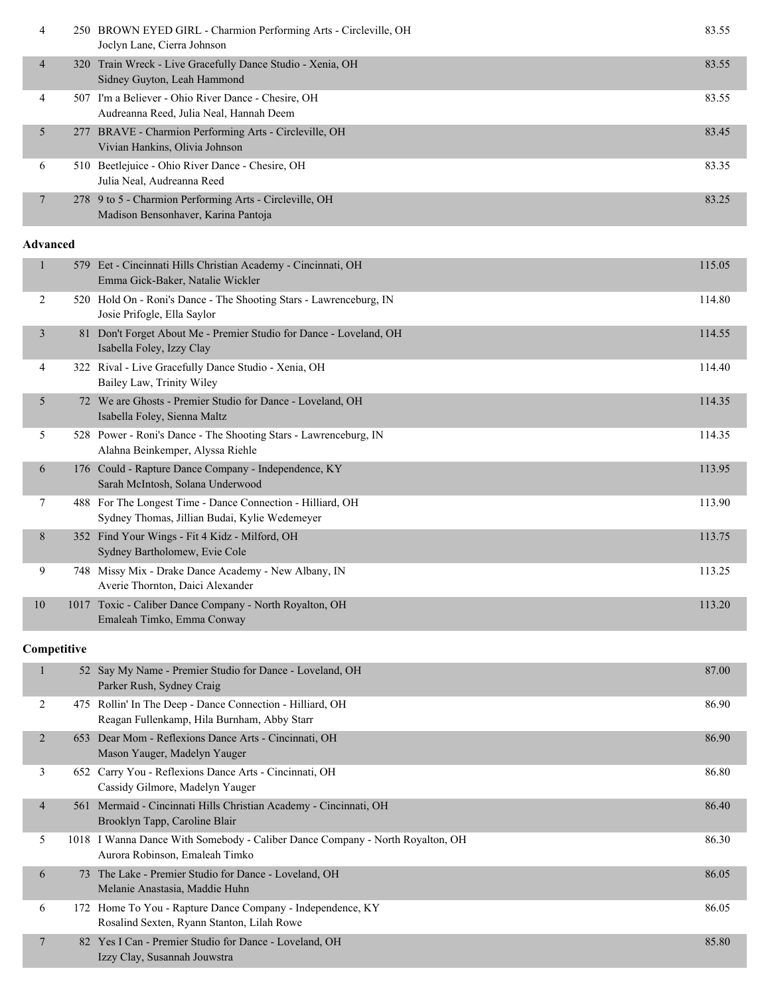| 4               |      | 250 BROWN EYED GIRL - Charmion Performing Arts - Circleville, OH<br>Joclyn Lane, Cierra Johnson                 | 83.55  |
|-----------------|------|-----------------------------------------------------------------------------------------------------------------|--------|
| 4               |      | 320 Train Wreck - Live Gracefully Dance Studio - Xenia, OH<br>Sidney Guyton, Leah Hammond                       | 83.55  |
| 4               |      | 507 I'm a Believer - Ohio River Dance - Chesire, OH<br>Audreanna Reed, Julia Neal, Hannah Deem                  | 83.55  |
| 5               |      | 277 BRAVE - Charmion Performing Arts - Circleville, OH<br>Vivian Hankins, Olivia Johnson                        | 83.45  |
| 6               |      | 510 Beetlejuice - Ohio River Dance - Chesire, OH<br>Julia Neal, Audreanna Reed                                  | 83.35  |
| 7               |      | 278 9 to 5 - Charmion Performing Arts - Circleville, OH<br>Madison Bensonhaver, Karina Pantoja                  | 83.25  |
| <b>Advanced</b> |      |                                                                                                                 |        |
| $\mathbf{1}$    |      | 579 Eet - Cincinnati Hills Christian Academy - Cincinnati, OH<br>Emma Gick-Baker, Natalie Wickler               | 115.05 |
| 2               |      | 520 Hold On - Roni's Dance - The Shooting Stars - Lawrenceburg, IN<br>Josie Prifogle, Ella Saylor               | 114.80 |
| 3               |      | 81 Don't Forget About Me - Premier Studio for Dance - Loveland, OH<br>Isabella Foley, Izzy Clay                 | 114.55 |
| 4               |      | 322 Rival - Live Gracefully Dance Studio - Xenia, OH<br>Bailey Law, Trinity Wiley                               | 114.40 |
| 5               |      | 72 We are Ghosts - Premier Studio for Dance - Loveland, OH<br>Isabella Foley, Sienna Maltz                      | 114.35 |
| 5               |      | 528 Power - Roni's Dance - The Shooting Stars - Lawrenceburg, IN<br>Alahna Beinkemper, Alyssa Riehle            | 114.35 |
| 6               |      | 176 Could - Rapture Dance Company - Independence, KY<br>Sarah McIntosh, Solana Underwood                        | 113.95 |
| 7               |      | 488 For The Longest Time - Dance Connection - Hilliard, OH<br>Sydney Thomas, Jillian Budai, Kylie Wedemeyer     | 113.90 |
| 8               |      | 352 Find Your Wings - Fit 4 Kidz - Milford, OH<br>Sydney Bartholomew, Evie Cole                                 | 113.75 |
| 9               |      | 748 Missy Mix - Drake Dance Academy - New Albany, IN<br>Averie Thornton, Daici Alexander                        | 113.25 |
| 10              | 1017 | Toxic - Caliber Dance Company - North Royalton, OH<br>Emaleah Timko, Emma Conway                                | 113.20 |
| Competitive     |      |                                                                                                                 |        |
| $\mathbf{1}$    |      | 52 Say My Name - Premier Studio for Dance - Loveland, OH<br>Parker Rush, Sydney Craig                           | 87.00  |
| 2               |      | 475 Rollin' In The Deep - Dance Connection - Hilliard, OH<br>Reagan Fullenkamp, Hila Burnham, Abby Starr        | 86.90  |
| $\overline{2}$  |      | 653 Dear Mom - Reflexions Dance Arts - Cincinnati, OH<br>Mason Yauger, Madelyn Yauger                           | 86.90  |
| 3               |      | 652 Carry You - Reflexions Dance Arts - Cincinnati, OH<br>Cassidy Gilmore, Madelyn Yauger                       | 86.80  |
| 4               |      | 561 Mermaid - Cincinnati Hills Christian Academy - Cincinnati, OH<br>Brooklyn Tapp, Caroline Blair              | 86.40  |
| 5               |      | 1018 I Wanna Dance With Somebody - Caliber Dance Company - North Royalton, OH<br>Aurora Robinson, Emaleah Timko | 86.30  |
| 6               |      | 73 The Lake - Premier Studio for Dance - Loveland, OH<br>Melanie Anastasia, Maddie Huhn                         | 86.05  |

6 172 Home To You - Rapture Dance Company - Independence, KY 86.05

7 82 Yes I Can - Premier Studio for Dance - Loveland, OH 85.80

Rosalind Sexten, Ryann Stanton, Lilah Rowe

Izzy Clay, Susannah Jouwstra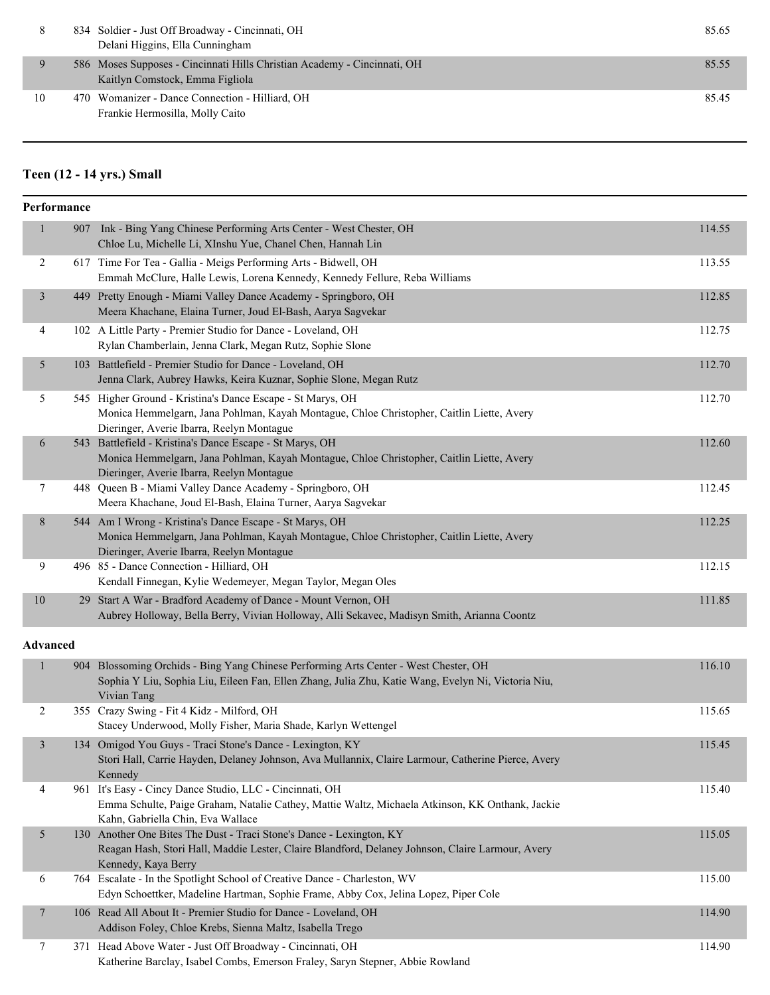|     | 834 Soldier - Just Off Broadway - Cincinnati, OH<br>Delani Higgins, Ella Cunningham                         | 85.65 |
|-----|-------------------------------------------------------------------------------------------------------------|-------|
|     | 586 Moses Supposes - Cincinnati Hills Christian Academy - Cincinnati, OH<br>Kaitlyn Comstock, Emma Figliola | 85.55 |
| -10 | 470 Womanizer - Dance Connection - Hilliard, OH<br>Frankie Hermosilla, Molly Caito                          | 85.45 |

# **Teen (12 - 14 yrs.) Small**

|                 | Performance |                                                                                                                                                                                                           |        |
|-----------------|-------------|-----------------------------------------------------------------------------------------------------------------------------------------------------------------------------------------------------------|--------|
| 1               |             | 907 Ink - Bing Yang Chinese Performing Arts Center - West Chester, OH<br>Chloe Lu, Michelle Li, XInshu Yue, Chanel Chen, Hannah Lin                                                                       | 114.55 |
| $\overline{2}$  |             | 617 Time For Tea - Gallia - Meigs Performing Arts - Bidwell, OH<br>Emmah McClure, Halle Lewis, Lorena Kennedy, Kennedy Fellure, Reba Williams                                                             | 113.55 |
| $\mathfrak{Z}$  |             | 449 Pretty Enough - Miami Valley Dance Academy - Springboro, OH<br>Meera Khachane, Elaina Turner, Joud El-Bash, Aarya Sagvekar                                                                            | 112.85 |
| 4               |             | 102 A Little Party - Premier Studio for Dance - Loveland, OH<br>Rylan Chamberlain, Jenna Clark, Megan Rutz, Sophie Slone                                                                                  | 112.75 |
| 5               |             | 103 Battlefield - Premier Studio for Dance - Loveland, OH<br>Jenna Clark, Aubrey Hawks, Keira Kuznar, Sophie Slone, Megan Rutz                                                                            | 112.70 |
| 5               |             | 545 Higher Ground - Kristina's Dance Escape - St Marys, OH<br>Monica Hemmelgarn, Jana Pohlman, Kayah Montague, Chloe Christopher, Caitlin Liette, Avery<br>Dieringer, Averie Ibarra, Reelyn Montague      | 112.70 |
| 6               |             | 543 Battlefield - Kristina's Dance Escape - St Marys, OH<br>Monica Hemmelgarn, Jana Pohlman, Kayah Montague, Chloe Christopher, Caitlin Liette, Avery<br>Dieringer, Averie Ibarra, Reelyn Montague        | 112.60 |
| $\tau$          |             | 448 Queen B - Miami Valley Dance Academy - Springboro, OH<br>Meera Khachane, Joud El-Bash, Elaina Turner, Aarya Sagvekar                                                                                  | 112.45 |
| 8               |             | 544 Am I Wrong - Kristina's Dance Escape - St Marys, OH<br>Monica Hemmelgarn, Jana Pohlman, Kayah Montague, Chloe Christopher, Caitlin Liette, Avery<br>Dieringer, Averie Ibarra, Reelyn Montague         | 112.25 |
| 9               |             | 496 85 - Dance Connection - Hilliard, OH<br>Kendall Finnegan, Kylie Wedemeyer, Megan Taylor, Megan Oles                                                                                                   | 112.15 |
| $10\,$          |             | 29 Start A War - Bradford Academy of Dance - Mount Vernon, OH<br>Aubrey Holloway, Bella Berry, Vivian Holloway, Alli Sekavec, Madisyn Smith, Arianna Coontz                                               | 111.85 |
| <b>Advanced</b> |             |                                                                                                                                                                                                           |        |
| 1               |             | 904 Blossoming Orchids - Bing Yang Chinese Performing Arts Center - West Chester, OH<br>Sophia Y Liu, Sophia Liu, Eileen Fan, Ellen Zhang, Julia Zhu, Katie Wang, Evelyn Ni, Victoria Niu,<br>Vivian Tang | 116.10 |
| 2               |             | 355 Crazy Swing - Fit 4 Kidz - Milford, OH<br>Stacey Underwood, Molly Fisher, Maria Shade, Karlyn Wettengel                                                                                               | 115.65 |
| $\mathfrak{Z}$  |             | 134 Omigod You Guys - Traci Stone's Dance - Lexington, KY<br>Stori Hall, Carrie Hayden, Delaney Johnson, Ava Mullannix, Claire Larmour, Catherine Pierce, Avery<br>Kennedy                                | 115.45 |
| 4               |             | 961 It's Easy - Cincy Dance Studio, LLC - Cincinnati, OH<br>Emma Schulte, Paige Graham, Natalie Cathey, Mattie Waltz, Michaela Atkinson, KK Onthank, Jackie<br>Kahn, Gabriella Chin, Eva Wallace          | 115.40 |
| 5               |             | 130 Another One Bites The Dust - Traci Stone's Dance - Lexington, KY<br>Reagan Hash, Stori Hall, Maddie Lester, Claire Blandford, Delaney Johnson, Claire Larmour, Avery<br>Kennedy, Kaya Berry           | 115.05 |
| 6               |             | 764 Escalate - In the Spotlight School of Creative Dance - Charleston, WV<br>Edyn Schoettker, Madeline Hartman, Sophie Frame, Abby Cox, Jelina Lopez, Piper Cole                                          | 115.00 |
| $\overline{7}$  |             | 106 Read All About It - Premier Studio for Dance - Loveland, OH<br>Addison Foley, Chloe Krebs, Sienna Maltz, Isabella Trego                                                                               | 114.90 |
| 7               |             | 371 Head Above Water - Just Off Broadway - Cincinnati, OH<br>Katherine Barclay, Isabel Combs, Emerson Fraley, Saryn Stepner, Abbie Rowland                                                                | 114.90 |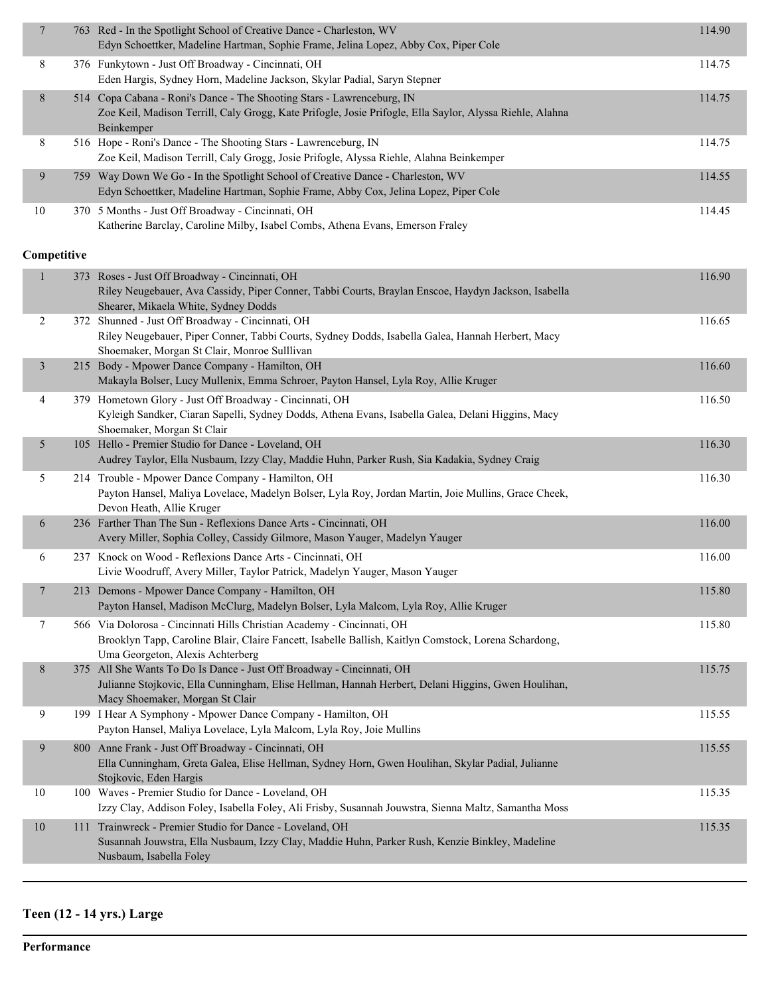| $\boldsymbol{7}$ | 763 Red - In the Spotlight School of Creative Dance - Charleston, WV<br>Edyn Schoettker, Madeline Hartman, Sophie Frame, Jelina Lopez, Abby Cox, Piper Cole                                                        | 114.90 |
|------------------|--------------------------------------------------------------------------------------------------------------------------------------------------------------------------------------------------------------------|--------|
| 8                | 376 Funkytown - Just Off Broadway - Cincinnati, OH<br>Eden Hargis, Sydney Horn, Madeline Jackson, Skylar Padial, Saryn Stepner                                                                                     | 114.75 |
| $\,8$            | 514 Copa Cabana - Roni's Dance - The Shooting Stars - Lawrenceburg, IN<br>Zoe Keil, Madison Terrill, Caly Grogg, Kate Prifogle, Josie Prifogle, Ella Saylor, Alyssa Riehle, Alahna<br>Beinkemper                   | 114.75 |
| 8                | 516 Hope - Roni's Dance - The Shooting Stars - Lawrenceburg, IN<br>Zoe Keil, Madison Terrill, Caly Grogg, Josie Prifogle, Alyssa Riehle, Alahna Beinkemper                                                         | 114.75 |
| 9                | 759 Way Down We Go - In the Spotlight School of Creative Dance - Charleston, WV<br>Edyn Schoettker, Madeline Hartman, Sophie Frame, Abby Cox, Jelina Lopez, Piper Cole                                             | 114.55 |
| $10\,$           | 370 5 Months - Just Off Broadway - Cincinnati, OH<br>Katherine Barclay, Caroline Milby, Isabel Combs, Athena Evans, Emerson Fraley                                                                                 | 114.45 |
| Competitive      |                                                                                                                                                                                                                    |        |
| $\mathbf{1}$     | 373 Roses - Just Off Broadway - Cincinnati, OH<br>Riley Neugebauer, Ava Cassidy, Piper Conner, Tabbi Courts, Braylan Enscoe, Haydyn Jackson, Isabella<br>Shearer, Mikaela White, Sydney Dodds                      | 116.90 |
| $\overline{c}$   | 372 Shunned - Just Off Broadway - Cincinnati, OH<br>Riley Neugebauer, Piper Conner, Tabbi Courts, Sydney Dodds, Isabella Galea, Hannah Herbert, Macy<br>Shoemaker, Morgan St Clair, Monroe Sulllivan               | 116.65 |
| $\mathfrak{Z}$   | 215 Body - Mpower Dance Company - Hamilton, OH<br>Makayla Bolser, Lucy Mullenix, Emma Schroer, Payton Hansel, Lyla Roy, Allie Kruger                                                                               | 116.60 |
| 4                | 379 Hometown Glory - Just Off Broadway - Cincinnati, OH<br>Kyleigh Sandker, Ciaran Sapelli, Sydney Dodds, Athena Evans, Isabella Galea, Delani Higgins, Macy<br>Shoemaker, Morgan St Clair                         | 116.50 |
| 5                | 105 Hello - Premier Studio for Dance - Loveland, OH<br>Audrey Taylor, Ella Nusbaum, Izzy Clay, Maddie Huhn, Parker Rush, Sia Kadakia, Sydney Craig                                                                 | 116.30 |
| 5                | 214 Trouble - Mpower Dance Company - Hamilton, OH<br>Payton Hansel, Maliya Lovelace, Madelyn Bolser, Lyla Roy, Jordan Martin, Joie Mullins, Grace Cheek,<br>Devon Heath, Allie Kruger                              | 116.30 |
| 6                | 236 Farther Than The Sun - Reflexions Dance Arts - Cincinnati, OH<br>Avery Miller, Sophia Colley, Cassidy Gilmore, Mason Yauger, Madelyn Yauger                                                                    | 116.00 |
| 6                | 237 Knock on Wood - Reflexions Dance Arts - Cincinnati, OH<br>Livie Woodruff, Avery Miller, Taylor Patrick, Madelyn Yauger, Mason Yauger                                                                           | 116.00 |
| $\overline{7}$   | 213 Demons - Mpower Dance Company - Hamilton, OH<br>Payton Hansel, Madison McClurg, Madelyn Bolser, Lyla Malcom, Lyla Roy, Allie Kruger                                                                            | 115.80 |
| 7                | 566 Via Dolorosa - Cincinnati Hills Christian Academy - Cincinnati, OH<br>Brooklyn Tapp, Caroline Blair, Claire Fancett, Isabelle Ballish, Kaitlyn Comstock, Lorena Schardong,<br>Uma Georgeton, Alexis Achterberg | 115.80 |
| 8                | 375 All She Wants To Do Is Dance - Just Off Broadway - Cincinnati, OH<br>Julianne Stojkovic, Ella Cunningham, Elise Hellman, Hannah Herbert, Delani Higgins, Gwen Houlihan,<br>Macy Shoemaker, Morgan St Clair     | 115.75 |
| 9                | 199 I Hear A Symphony - Mpower Dance Company - Hamilton, OH<br>Payton Hansel, Maliya Lovelace, Lyla Malcom, Lyla Roy, Joie Mullins                                                                                 | 115.55 |
| $\boldsymbol{9}$ | 800 Anne Frank - Just Off Broadway - Cincinnati, OH<br>Ella Cunningham, Greta Galea, Elise Hellman, Sydney Horn, Gwen Houlihan, Skylar Padial, Julianne<br>Stojkovic, Eden Hargis                                  | 115.55 |
| $10\,$           | 100 Waves - Premier Studio for Dance - Loveland, OH<br>Izzy Clay, Addison Foley, Isabella Foley, Ali Frisby, Susannah Jouwstra, Sienna Maltz, Samantha Moss                                                        | 115.35 |
| $10\,$           | 111 Trainwreck - Premier Studio for Dance - Loveland, OH<br>Susannah Jouwstra, Ella Nusbaum, Izzy Clay, Maddie Huhn, Parker Rush, Kenzie Binkley, Madeline<br>Nusbaum, Isabella Foley                              | 115.35 |
|                  |                                                                                                                                                                                                                    |        |

# **Teen (12 - 14 yrs.) Large**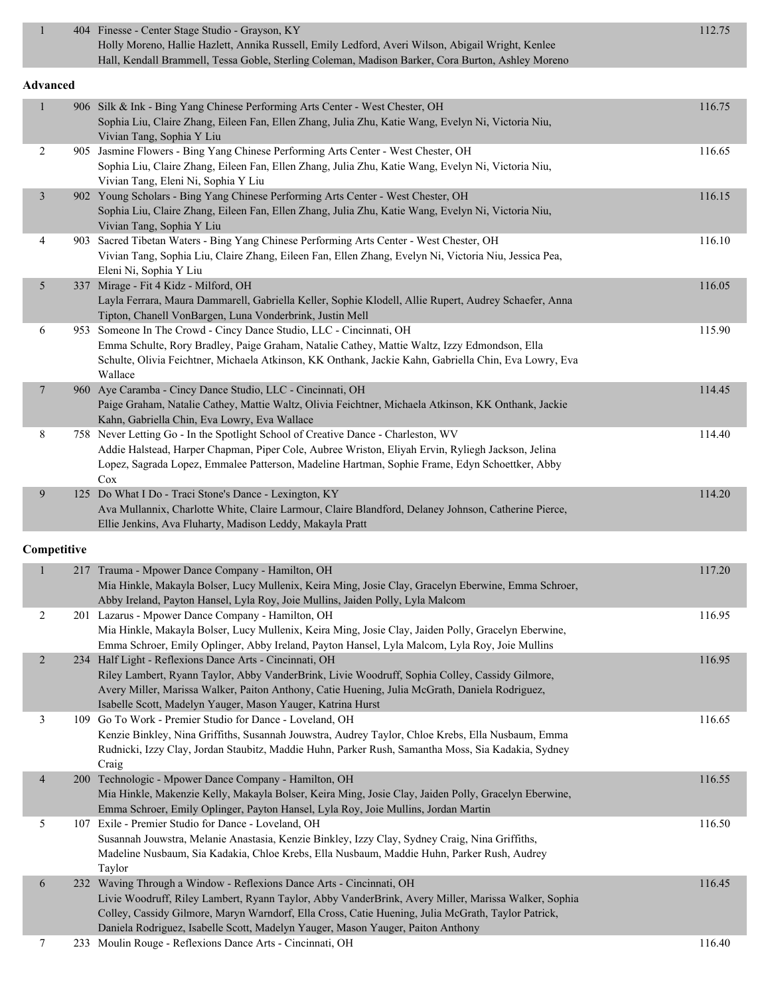| $\mathbf{1}$             |             | 404 Finesse - Center Stage Studio - Grayson, KY<br>Holly Moreno, Hallie Hazlett, Annika Russell, Emily Ledford, Averi Wilson, Abigail Wright, Kenlee<br>Hall, Kendall Brammell, Tessa Goble, Sterling Coleman, Madison Barker, Cora Burton, Ashley Moreno                                                                                                            | 112.75 |
|--------------------------|-------------|----------------------------------------------------------------------------------------------------------------------------------------------------------------------------------------------------------------------------------------------------------------------------------------------------------------------------------------------------------------------|--------|
|                          | Advanced    |                                                                                                                                                                                                                                                                                                                                                                      |        |
| $\mathbf{1}$             |             | 906 Silk & Ink - Bing Yang Chinese Performing Arts Center - West Chester, OH<br>Sophia Liu, Claire Zhang, Eileen Fan, Ellen Zhang, Julia Zhu, Katie Wang, Evelyn Ni, Victoria Niu,<br>Vivian Tang, Sophia Y Liu                                                                                                                                                      | 116.75 |
| 2                        |             | 905 Jasmine Flowers - Bing Yang Chinese Performing Arts Center - West Chester, OH<br>Sophia Liu, Claire Zhang, Eileen Fan, Ellen Zhang, Julia Zhu, Katie Wang, Evelyn Ni, Victoria Niu,<br>Vivian Tang, Eleni Ni, Sophia Y Liu                                                                                                                                       | 116.65 |
| $\mathfrak{Z}$           |             | 902 Young Scholars - Bing Yang Chinese Performing Arts Center - West Chester, OH<br>Sophia Liu, Claire Zhang, Eileen Fan, Ellen Zhang, Julia Zhu, Katie Wang, Evelyn Ni, Victoria Niu,<br>Vivian Tang, Sophia Y Liu                                                                                                                                                  | 116.15 |
| 4                        |             | 903 Sacred Tibetan Waters - Bing Yang Chinese Performing Arts Center - West Chester, OH<br>Vivian Tang, Sophia Liu, Claire Zhang, Eileen Fan, Ellen Zhang, Evelyn Ni, Victoria Niu, Jessica Pea,<br>Eleni Ni, Sophia Y Liu                                                                                                                                           | 116.10 |
| 5                        |             | 337 Mirage - Fit 4 Kidz - Milford, OH<br>Layla Ferrara, Maura Dammarell, Gabriella Keller, Sophie Klodell, Allie Rupert, Audrey Schaefer, Anna<br>Tipton, Chanell VonBargen, Luna Vonderbrink, Justin Mell                                                                                                                                                           | 116.05 |
| 6                        |             | 953 Someone In The Crowd - Cincy Dance Studio, LLC - Cincinnati, OH<br>Emma Schulte, Rory Bradley, Paige Graham, Natalie Cathey, Mattie Waltz, Izzy Edmondson, Ella<br>Schulte, Olivia Feichtner, Michaela Atkinson, KK Onthank, Jackie Kahn, Gabriella Chin, Eva Lowry, Eva<br>Wallace                                                                              | 115.90 |
| $\overline{\phantom{a}}$ |             | 960 Aye Caramba - Cincy Dance Studio, LLC - Cincinnati, OH<br>Paige Graham, Natalie Cathey, Mattie Waltz, Olivia Feichtner, Michaela Atkinson, KK Onthank, Jackie<br>Kahn, Gabriella Chin, Eva Lowry, Eva Wallace                                                                                                                                                    | 114.45 |
| $8\,$                    |             | 758 Never Letting Go - In the Spotlight School of Creative Dance - Charleston, WV<br>Addie Halstead, Harper Chapman, Piper Cole, Aubree Wriston, Eliyah Ervin, Ryliegh Jackson, Jelina<br>Lopez, Sagrada Lopez, Emmalee Patterson, Madeline Hartman, Sophie Frame, Edyn Schoettker, Abby<br>Cox                                                                      | 114.40 |
| 9                        |             | 125 Do What I Do - Traci Stone's Dance - Lexington, KY<br>Ava Mullannix, Charlotte White, Claire Larmour, Claire Blandford, Delaney Johnson, Catherine Pierce,<br>Ellie Jenkins, Ava Fluharty, Madison Leddy, Makayla Pratt                                                                                                                                          | 114.20 |
|                          | Competitive |                                                                                                                                                                                                                                                                                                                                                                      |        |
| $\mathbf{1}$             |             | 217 Trauma - Mpower Dance Company - Hamilton, OH<br>Mia Hinkle, Makayla Bolser, Lucy Mullenix, Keira Ming, Josie Clay, Gracelyn Eberwine, Emma Schroer,<br>Abby Ireland, Payton Hansel, Lyla Roy, Joie Mullins, Jaiden Polly, Lyla Malcom                                                                                                                            | 117.20 |
| 2                        |             | 201 Lazarus - Mpower Dance Company - Hamilton, OH<br>Mia Hinkle, Makayla Bolser, Lucy Mullenix, Keira Ming, Josie Clay, Jaiden Polly, Gracelyn Eberwine,<br>Emma Schroer, Emily Oplinger, Abby Ireland, Payton Hansel, Lyla Malcom, Lyla Roy, Joie Mullins                                                                                                           | 116.95 |
| $\overline{2}$           |             | 234 Half Light - Reflexions Dance Arts - Cincinnati, OH<br>Riley Lambert, Ryann Taylor, Abby VanderBrink, Livie Woodruff, Sophia Colley, Cassidy Gilmore,<br>Avery Miller, Marissa Walker, Paiton Anthony, Catie Huening, Julia McGrath, Daniela Rodriguez,<br>Isabelle Scott, Madelyn Yauger, Mason Yauger, Katrina Hurst                                           | 116.95 |
| 3                        |             | 109 Go To Work - Premier Studio for Dance - Loveland, OH<br>Kenzie Binkley, Nina Griffiths, Susannah Jouwstra, Audrey Taylor, Chloe Krebs, Ella Nusbaum, Emma<br>Rudnicki, Izzy Clay, Jordan Staubitz, Maddie Huhn, Parker Rush, Samantha Moss, Sia Kadakia, Sydney<br>Craig                                                                                         | 116.65 |
| $\overline{4}$           |             | 200 Technologic - Mpower Dance Company - Hamilton, OH<br>Mia Hinkle, Makenzie Kelly, Makayla Bolser, Keira Ming, Josie Clay, Jaiden Polly, Gracelyn Eberwine,<br>Emma Schroer, Emily Oplinger, Payton Hansel, Lyla Roy, Joie Mullins, Jordan Martin                                                                                                                  | 116.55 |
| 5                        |             | 107 Exile - Premier Studio for Dance - Loveland, OH<br>Susannah Jouwstra, Melanie Anastasia, Kenzie Binkley, Izzy Clay, Sydney Craig, Nina Griffiths,<br>Madeline Nusbaum, Sia Kadakia, Chloe Krebs, Ella Nusbaum, Maddie Huhn, Parker Rush, Audrey<br>Taylor                                                                                                        | 116.50 |
| 6                        |             | 232 Waving Through a Window - Reflexions Dance Arts - Cincinnati, OH<br>Livie Woodruff, Riley Lambert, Ryann Taylor, Abby VanderBrink, Avery Miller, Marissa Walker, Sophia<br>Colley, Cassidy Gilmore, Maryn Warndorf, Ella Cross, Catie Huening, Julia McGrath, Taylor Patrick,<br>Daniela Rodriguez, Isabelle Scott, Madelyn Yauger, Mason Yauger, Paiton Anthony | 116.45 |
| 7                        |             | 233 Moulin Rouge - Reflexions Dance Arts - Cincinnati, OH                                                                                                                                                                                                                                                                                                            | 116.40 |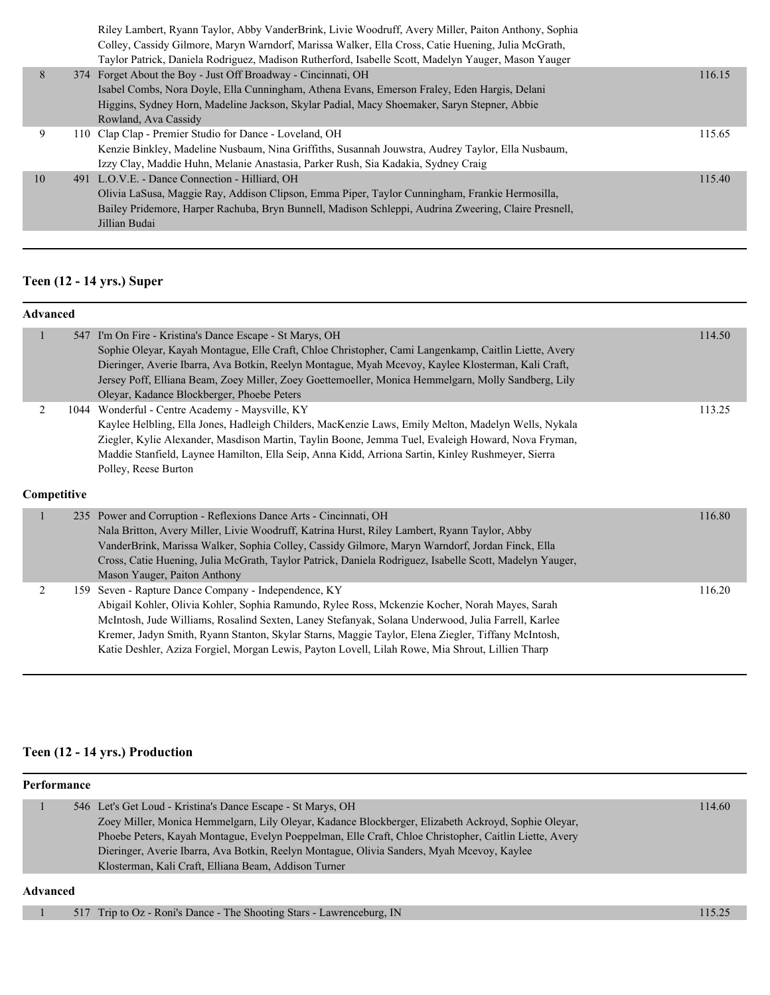|    | Riley Lambert, Ryann Taylor, Abby VanderBrink, Livie Woodruff, Avery Miller, Paiton Anthony, Sophia  |        |
|----|------------------------------------------------------------------------------------------------------|--------|
|    | Colley, Cassidy Gilmore, Maryn Warndorf, Marissa Walker, Ella Cross, Catie Huening, Julia McGrath,   |        |
|    | Taylor Patrick, Daniela Rodriguez, Madison Rutherford, Isabelle Scott, Madelyn Yauger, Mason Yauger  |        |
| 8  | 374 Forget About the Boy - Just Off Broadway - Cincinnati, OH                                        | 116.15 |
|    | Isabel Combs, Nora Doyle, Ella Cunningham, Athena Evans, Emerson Fraley, Eden Hargis, Delani         |        |
|    | Higgins, Sydney Horn, Madeline Jackson, Skylar Padial, Macy Shoemaker, Saryn Stepner, Abbie          |        |
|    | Rowland, Ava Cassidy                                                                                 |        |
| 9  | 110 Clap Clap - Premier Studio for Dance - Loveland, OH                                              | 115.65 |
|    | Kenzie Binkley, Madeline Nusbaum, Nina Griffiths, Susannah Jouwstra, Audrey Taylor, Ella Nusbaum,    |        |
|    | Izzy Clay, Maddie Huhn, Melanie Anastasia, Parker Rush, Sia Kadakia, Sydney Craig                    |        |
| 10 | 491 L.O.V.E. - Dance Connection - Hilliard, OH                                                       | 115.40 |
|    | Olivia LaSusa, Maggie Ray, Addison Clipson, Emma Piper, Taylor Cunningham, Frankie Hermosilla,       |        |
|    | Bailey Pridemore, Harper Rachuba, Bryn Bunnell, Madison Schleppi, Audrina Zweering, Claire Presnell, |        |
|    | Jillian Budai                                                                                        |        |
|    |                                                                                                      |        |

# **Teen (12 - 14 yrs.) Super**

| <b>Advanced</b>  |     |                                                                                                                                                                                                                                                                                                                                                                                                                                                                    |        |
|------------------|-----|--------------------------------------------------------------------------------------------------------------------------------------------------------------------------------------------------------------------------------------------------------------------------------------------------------------------------------------------------------------------------------------------------------------------------------------------------------------------|--------|
| $\mathbf{1}$     |     | 547 I'm On Fire - Kristina's Dance Escape - St Marys, OH<br>Sophie Oleyar, Kayah Montague, Elle Craft, Chloe Christopher, Cami Langenkamp, Caitlin Liette, Avery<br>Dieringer, Averie Ibarra, Ava Botkin, Reelyn Montague, Myah Mcevoy, Kaylee Klosterman, Kali Craft,<br>Jersey Poff, Elliana Beam, Zoey Miller, Zoey Goettemoeller, Monica Hemmelgarn, Molly Sandberg, Lily<br>Oleyar, Kadance Blockberger, Phoebe Peters                                        | 114.50 |
| 2<br>Competitive |     | 1044 Wonderful - Centre Academy - Maysville, KY<br>Kaylee Helbling, Ella Jones, Hadleigh Childers, MacKenzie Laws, Emily Melton, Madelyn Wells, Nykala<br>Ziegler, Kylie Alexander, Masdison Martin, Taylin Boone, Jemma Tuel, Evaleigh Howard, Nova Fryman,<br>Maddie Stanfield, Laynee Hamilton, Ella Seip, Anna Kidd, Arriona Sartin, Kinley Rushmeyer, Sierra<br>Polley, Reese Burton                                                                          | 113.25 |
|                  |     | 235 Power and Corruption - Reflexions Dance Arts - Cincinnati, OH<br>Nala Britton, Avery Miller, Livie Woodruff, Katrina Hurst, Riley Lambert, Ryann Taylor, Abby<br>VanderBrink, Marissa Walker, Sophia Colley, Cassidy Gilmore, Maryn Warndorf, Jordan Finck, Ella<br>Cross, Catie Huening, Julia McGrath, Taylor Patrick, Daniela Rodriguez, Isabelle Scott, Madelyn Yauger,<br>Mason Yauger, Paiton Anthony                                                    | 116.80 |
| 2                | 159 | Seven - Rapture Dance Company - Independence, KY<br>Abigail Kohler, Olivia Kohler, Sophia Ramundo, Rylee Ross, Mckenzie Kocher, Norah Mayes, Sarah<br>McIntosh, Jude Williams, Rosalind Sexten, Laney Stefanyak, Solana Underwood, Julia Farrell, Karlee<br>Kremer, Jadyn Smith, Ryann Stanton, Skylar Starns, Maggie Taylor, Elena Ziegler, Tiffany McIntosh,<br>Katie Deshler, Aziza Forgiel, Morgan Lewis, Payton Lovell, Lilah Rowe, Mia Shrout, Lillien Tharp | 116.20 |

#### **Teen (12 - 14 yrs.) Production**

| Performance |  |                                                                                                        |        |  |
|-------------|--|--------------------------------------------------------------------------------------------------------|--------|--|
|             |  | 546 Let's Get Loud - Kristina's Dance Escape - St Marys, OH                                            | 114.60 |  |
|             |  | Zoey Miller, Monica Hemmelgarn, Lily Oleyar, Kadance Blockberger, Elizabeth Ackroyd, Sophie Oleyar,    |        |  |
|             |  | Phoebe Peters, Kayah Montague, Evelyn Poeppelman, Elle Craft, Chloe Christopher, Caitlin Liette, Avery |        |  |
|             |  | Dieringer, Averie Ibarra, Ava Botkin, Reelyn Montague, Olivia Sanders, Myah Mcevoy, Kaylee             |        |  |
|             |  | Klosterman, Kali Craft, Elliana Beam, Addison Turner                                                   |        |  |
| Advanced    |  |                                                                                                        |        |  |

1 517 Trip to Oz - Roni's Dance - The Shooting Stars - Lawrenceburg, IN 115.25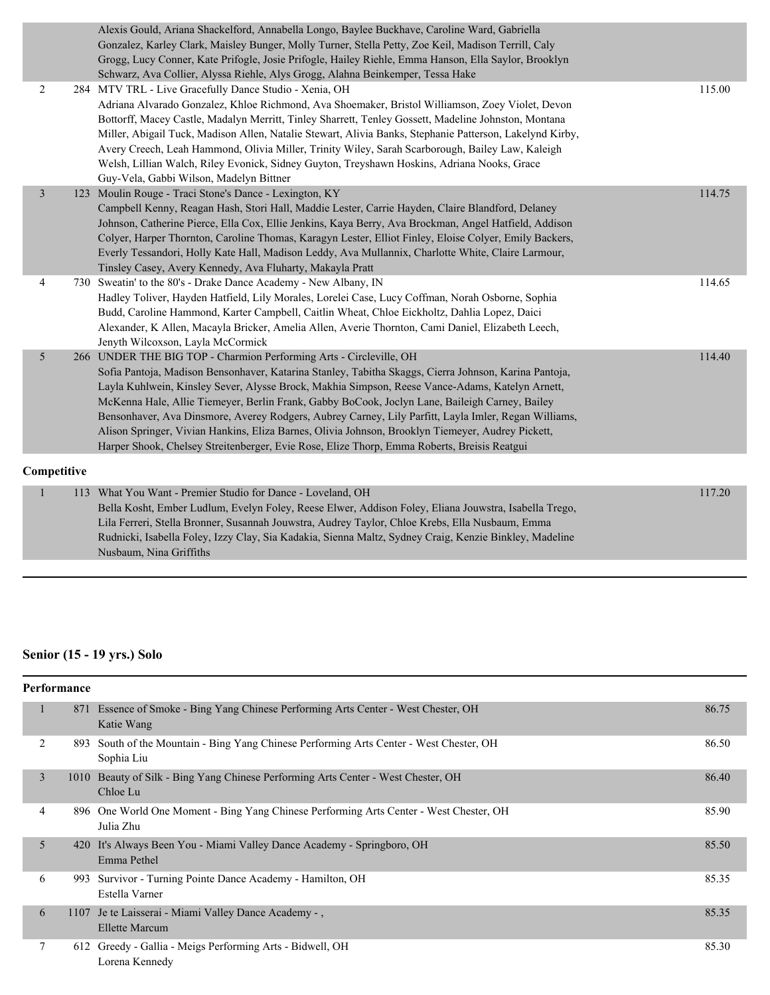|                | Alexis Gould, Ariana Shackelford, Annabella Longo, Baylee Buckhave, Caroline Ward, Gabriella<br>Gonzalez, Karley Clark, Maisley Bunger, Molly Turner, Stella Petty, Zoe Keil, Madison Terrill, Caly<br>Grogg, Lucy Conner, Kate Prifogle, Josie Prifogle, Hailey Riehle, Emma Hanson, Ella Saylor, Brooklyn<br>Schwarz, Ava Collier, Alyssa Riehle, Alys Grogg, Alahna Beinkemper, Tessa Hake                                                                                                                                                                                                                                                                                                |        |
|----------------|----------------------------------------------------------------------------------------------------------------------------------------------------------------------------------------------------------------------------------------------------------------------------------------------------------------------------------------------------------------------------------------------------------------------------------------------------------------------------------------------------------------------------------------------------------------------------------------------------------------------------------------------------------------------------------------------|--------|
| 2              | 284 MTV TRL - Live Gracefully Dance Studio - Xenia, OH<br>Adriana Alvarado Gonzalez, Khloe Richmond, Ava Shoemaker, Bristol Williamson, Zoey Violet, Devon<br>Bottorff, Macey Castle, Madalyn Merritt, Tinley Sharrett, Tenley Gossett, Madeline Johnston, Montana<br>Miller, Abigail Tuck, Madison Allen, Natalie Stewart, Alivia Banks, Stephanie Patterson, Lakelynd Kirby,<br>Avery Creech, Leah Hammond, Olivia Miller, Trinity Wiley, Sarah Scarborough, Bailey Law, Kaleigh<br>Welsh, Lillian Walch, Riley Evonick, Sidney Guyton, Treyshawn Hoskins, Adriana Nooks, Grace<br>Guy-Vela, Gabbi Wilson, Madelyn Bittner                                                                 | 115.00 |
| $\overline{3}$ | 123 Moulin Rouge - Traci Stone's Dance - Lexington, KY<br>Campbell Kenny, Reagan Hash, Stori Hall, Maddie Lester, Carrie Hayden, Claire Blandford, Delaney<br>Johnson, Catherine Pierce, Ella Cox, Ellie Jenkins, Kaya Berry, Ava Brockman, Angel Hatfield, Addison<br>Colyer, Harper Thornton, Caroline Thomas, Karagyn Lester, Elliot Finley, Eloise Colyer, Emily Backers,<br>Everly Tessandori, Holly Kate Hall, Madison Leddy, Ava Mullannix, Charlotte White, Claire Larmour,<br>Tinsley Casey, Avery Kennedy, Ava Fluharty, Makayla Pratt                                                                                                                                             | 114.75 |
| 4              | 730 Sweatin' to the 80's - Drake Dance Academy - New Albany, IN<br>Hadley Toliver, Hayden Hatfield, Lily Morales, Lorelei Case, Lucy Coffman, Norah Osborne, Sophia<br>Budd, Caroline Hammond, Karter Campbell, Caitlin Wheat, Chloe Eickholtz, Dahlia Lopez, Daici<br>Alexander, K Allen, Macayla Bricker, Amelia Allen, Averie Thornton, Cami Daniel, Elizabeth Leech,<br>Jenyth Wilcoxson, Layla McCormick                                                                                                                                                                                                                                                                                | 114.65 |
| 5 <sup>5</sup> | 266 UNDER THE BIG TOP - Charmion Performing Arts - Circleville, OH<br>Sofia Pantoja, Madison Bensonhaver, Katarina Stanley, Tabitha Skaggs, Cierra Johnson, Karina Pantoja,<br>Layla Kuhlwein, Kinsley Sever, Alysse Brock, Makhia Simpson, Reese Vance-Adams, Katelyn Arnett,<br>McKenna Hale, Allie Tiemeyer, Berlin Frank, Gabby BoCook, Joclyn Lane, Baileigh Carney, Bailey<br>Bensonhaver, Ava Dinsmore, Averey Rodgers, Aubrey Carney, Lily Parfitt, Layla Imler, Regan Williams,<br>Alison Springer, Vivian Hankins, Eliza Barnes, Olivia Johnson, Brooklyn Tiemeyer, Audrey Pickett,<br>Harper Shook, Chelsey Streitenberger, Evie Rose, Elize Thorp, Emma Roberts, Breisis Reatgui | 114.40 |
| Competitive    |                                                                                                                                                                                                                                                                                                                                                                                                                                                                                                                                                                                                                                                                                              |        |
| $\mathbf{1}$   | 113 What You Want - Premier Studio for Dance - Loveland, OH<br>Bella Kosht, Ember Ludlum, Evelyn Foley, Reese Elwer, Addison Foley, Eliana Jouwstra, Isabella Trego,                                                                                                                                                                                                                                                                                                                                                                                                                                                                                                                         | 117.20 |

Bella Kosht, Ember Ludlum, Evelyn Foley, Reese Elwer, Addison Foley, Eliana Jouwstra, Isabella Trego, Lila Ferreri, Stella Bronner, Susannah Jouwstra, Audrey Taylor, Chloe Krebs, Ella Nusbaum, Emma Rudnicki, Isabella Foley, Izzy Clay, Sia Kadakia, Sienna Maltz, Sydney Craig, Kenzie Binkley, Madeline Nusbaum, Nina Griffiths

#### **Senior (15 - 19 yrs.) Solo**

|   | <b>Performance</b> |                                                                                                     |       |
|---|--------------------|-----------------------------------------------------------------------------------------------------|-------|
| 1 | 871                | Essence of Smoke - Bing Yang Chinese Performing Arts Center - West Chester, OH<br>Katie Wang        | 86.75 |
| 2 | 893                | South of the Mountain - Bing Yang Chinese Performing Arts Center - West Chester, OH<br>Sophia Liu   | 86.50 |
| 3 |                    | 1010 Beauty of Silk - Bing Yang Chinese Performing Arts Center - West Chester, OH<br>Chloe Lu       | 86.40 |
| 4 |                    | 896 One World One Moment - Bing Yang Chinese Performing Arts Center - West Chester, OH<br>Julia Zhu | 85.90 |
| 5 |                    | 420 It's Always Been You - Miami Valley Dance Academy - Springboro, OH<br>Emma Pethel               | 85.50 |
| 6 | 993                | Survivor - Turning Pointe Dance Academy - Hamilton, OH<br>Estella Varner                            | 85.35 |
| 6 |                    | 1107 Je te Laisserai - Miami Valley Dance Academy -,<br><b>Ellette Marcum</b>                       | 85.35 |
| 7 |                    | 612 Greedy - Gallia - Meigs Performing Arts - Bidwell, OH<br>Lorena Kennedy                         | 85.30 |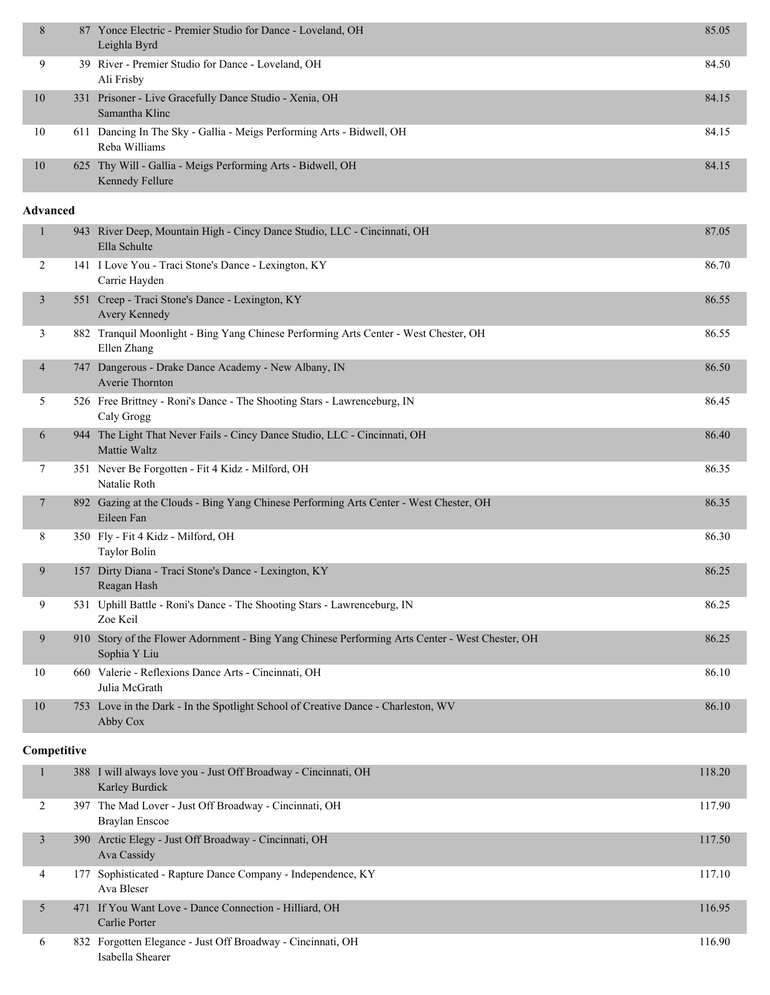| 8               | 87 Yonce Electric - Premier Studio for Dance - Loveland, OH<br>Leighla Byrd                                     | 85.05  |
|-----------------|-----------------------------------------------------------------------------------------------------------------|--------|
| 9               | 39 River - Premier Studio for Dance - Loveland, OH<br>Ali Frisby                                                | 84.50  |
| 10              | 331 Prisoner - Live Gracefully Dance Studio - Xenia, OH<br>Samantha Klinc                                       | 84.15  |
| 10              | 611 Dancing In The Sky - Gallia - Meigs Performing Arts - Bidwell, OH<br>Reba Williams                          | 84.15  |
| 10              | 625 Thy Will - Gallia - Meigs Performing Arts - Bidwell, OH<br>Kennedy Fellure                                  | 84.15  |
| <b>Advanced</b> |                                                                                                                 |        |
| 1               | 943 River Deep, Mountain High - Cincy Dance Studio, LLC - Cincinnati, OH<br>Ella Schulte                        | 87.05  |
| 2               | 141 I Love You - Traci Stone's Dance - Lexington, KY<br>Carrie Hayden                                           | 86.70  |
| 3               | 551 Creep - Traci Stone's Dance - Lexington, KY<br>Avery Kennedy                                                | 86.55  |
| 3               | 882 Tranquil Moonlight - Bing Yang Chinese Performing Arts Center - West Chester, OH<br>Ellen Zhang             | 86.55  |
| $\overline{4}$  | 747 Dangerous - Drake Dance Academy - New Albany, IN<br>Averie Thornton                                         | 86.50  |
| 5               | 526 Free Brittney - Roni's Dance - The Shooting Stars - Lawrenceburg, IN<br>Caly Grogg                          | 86.45  |
| 6               | 944 The Light That Never Fails - Cincy Dance Studio, LLC - Cincinnati, OH<br>Mattie Waltz                       | 86.40  |
| 7               | 351 Never Be Forgotten - Fit 4 Kidz - Milford, OH<br>Natalie Roth                                               | 86.35  |
| 7               | 892 Gazing at the Clouds - Bing Yang Chinese Performing Arts Center - West Chester, OH<br>Eileen Fan            | 86.35  |
| 8               | 350 Fly - Fit 4 Kidz - Milford, OH<br><b>Taylor Bolin</b>                                                       | 86.30  |
| 9               | 157 Dirty Diana - Traci Stone's Dance - Lexington, KY<br>Reagan Hash                                            | 86.25  |
| 9               | 531 Uphill Battle - Roni's Dance - The Shooting Stars - Lawrenceburg, IN<br>Zoe Keil                            | 86.25  |
| 9               | 910 Story of the Flower Adornment - Bing Yang Chinese Performing Arts Center - West Chester, OH<br>Sophia Y Liu | 86.25  |
| 10              | 660 Valerie - Reflexions Dance Arts - Cincinnati, OH<br>Julia McGrath                                           | 86.10  |
| 10              | 753 Love in the Dark - In the Spotlight School of Creative Dance - Charleston, WV<br>Abby Cox                   | 86.10  |
| Competitive     |                                                                                                                 |        |
| $\mathbf{1}$    | 388 I will always love you - Just Off Broadway - Cincinnati, OH<br>Karley Burdick                               | 118.20 |
| $\mathcal{D}$   | 307 The Mad Lover - Just Off Broadway - Cincinnati, OH                                                          | 117.00 |

|   | 397 The Mad Lover - Just Off Broadway - Cincinnati, OH<br>Braylan Enscoe        | 117.90 |
|---|---------------------------------------------------------------------------------|--------|
|   | 390 Arctic Elegy - Just Off Broadway - Cincinnati, OH<br>Ava Cassidy            | 117.50 |
| 4 | 177 Sophisticated - Rapture Dance Company - Independence, KY<br>Ava Bleser      | 117.10 |
|   | 471 If You Want Love - Dance Connection - Hilliard, OH<br>Carlie Porter         | 116.95 |
| 6 | 832 Forgotten Elegance - Just Off Broadway - Cincinnati, OH<br>Isabella Shearer | 116.90 |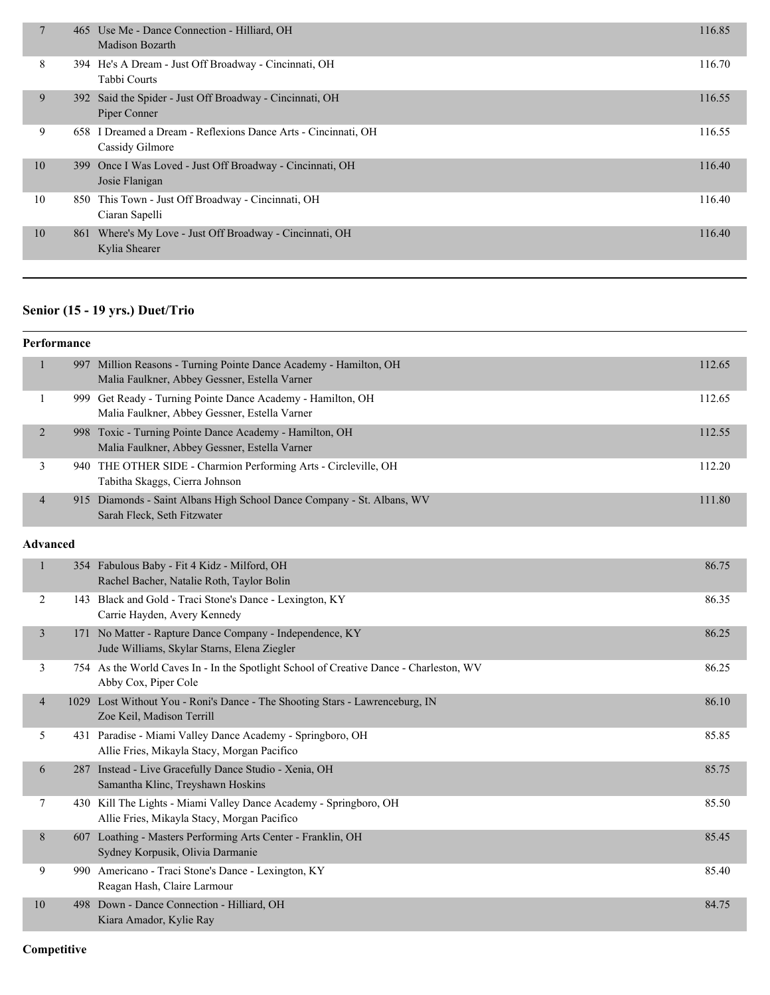| 7  | 465 Use Me - Dance Connection - Hilliard, OH<br><b>Madison Bozarth</b>            | 116.85 |
|----|-----------------------------------------------------------------------------------|--------|
| 8  | 394 He's A Dream - Just Off Broadway - Cincinnati, OH<br>Tabbi Courts             | 116.70 |
| 9  | 392 Said the Spider - Just Off Broadway - Cincinnati, OH<br>Piper Conner          | 116.55 |
| 9. | 658 I Dreamed a Dream - Reflexions Dance Arts - Cincinnati, OH<br>Cassidy Gilmore | 116.55 |
| 10 | 399 Once I Was Loved - Just Off Broadway - Cincinnati, OH<br>Josie Flanigan       | 116.40 |
| 10 | 850 This Town - Just Off Broadway - Cincinnati, OH<br>Ciaran Sapelli              | 116.40 |
| 10 | 861 Where's My Love - Just Off Broadway - Cincinnati, OH<br>Kylia Shearer         | 116.40 |

# **Senior (15 - 19 yrs.) Duet/Trio**

|                 | Performance |                                                                                                                    |        |
|-----------------|-------------|--------------------------------------------------------------------------------------------------------------------|--------|
| 1               |             | 997 Million Reasons - Turning Pointe Dance Academy - Hamilton, OH<br>Malia Faulkner, Abbey Gessner, Estella Varner | 112.65 |
| 1               |             | 999 Get Ready - Turning Pointe Dance Academy - Hamilton, OH<br>Malia Faulkner, Abbey Gessner, Estella Varner       | 112.65 |
| $\overline{2}$  |             | 998 Toxic - Turning Pointe Dance Academy - Hamilton, OH<br>Malia Faulkner, Abbey Gessner, Estella Varner           | 112.55 |
| 3               |             | 940 THE OTHER SIDE - Charmion Performing Arts - Circleville, OH<br>Tabitha Skaggs, Cierra Johnson                  | 112.20 |
| 4               |             | 915 Diamonds - Saint Albans High School Dance Company - St. Albans, WV<br>Sarah Fleck, Seth Fitzwater              | 111.80 |
| <b>Advanced</b> |             |                                                                                                                    |        |
| 1               |             | 354 Fabulous Baby - Fit 4 Kidz - Milford, OH<br>Rachel Bacher, Natalie Roth, Taylor Bolin                          | 86.75  |
| 2               |             | 143 Black and Gold - Traci Stone's Dance - Lexington, KY<br>Carrie Hayden, Avery Kennedy                           | 86.35  |
| 3               |             | 171 No Matter - Rapture Dance Company - Independence, KY<br>Jude Williams, Skylar Starns, Elena Ziegler            | 86.25  |
| 3               |             | 754 As the World Caves In - In the Spotlight School of Creative Dance - Charleston, WV<br>Abby Cox, Piper Cole     | 86.25  |
| $\overline{4}$  |             | 1029 Lost Without You - Roni's Dance - The Shooting Stars - Lawrenceburg, IN<br>Zoe Keil, Madison Terrill          | 86.10  |
| 5               |             | 431 Paradise - Miami Valley Dance Academy - Springboro, OH<br>Allie Fries, Mikayla Stacy, Morgan Pacifico          | 85.85  |
| 6               |             | 287 Instead - Live Gracefully Dance Studio - Xenia, OH<br>Samantha Klinc, Treyshawn Hoskins                        | 85.75  |
| 7               |             | 430 Kill The Lights - Miami Valley Dance Academy - Springboro, OH<br>Allie Fries, Mikayla Stacy, Morgan Pacifico   | 85.50  |
| 8               |             | 607 Loathing - Masters Performing Arts Center - Franklin, OH<br>Sydney Korpusik, Olivia Darmanie                   | 85.45  |
| 9               |             | 990 Americano - Traci Stone's Dance - Lexington, KY<br>Reagan Hash, Claire Larmour                                 | 85.40  |
| 10              |             | 498 Down - Dance Connection - Hilliard, OH<br>Kiara Amador, Kylie Ray                                              | 84.75  |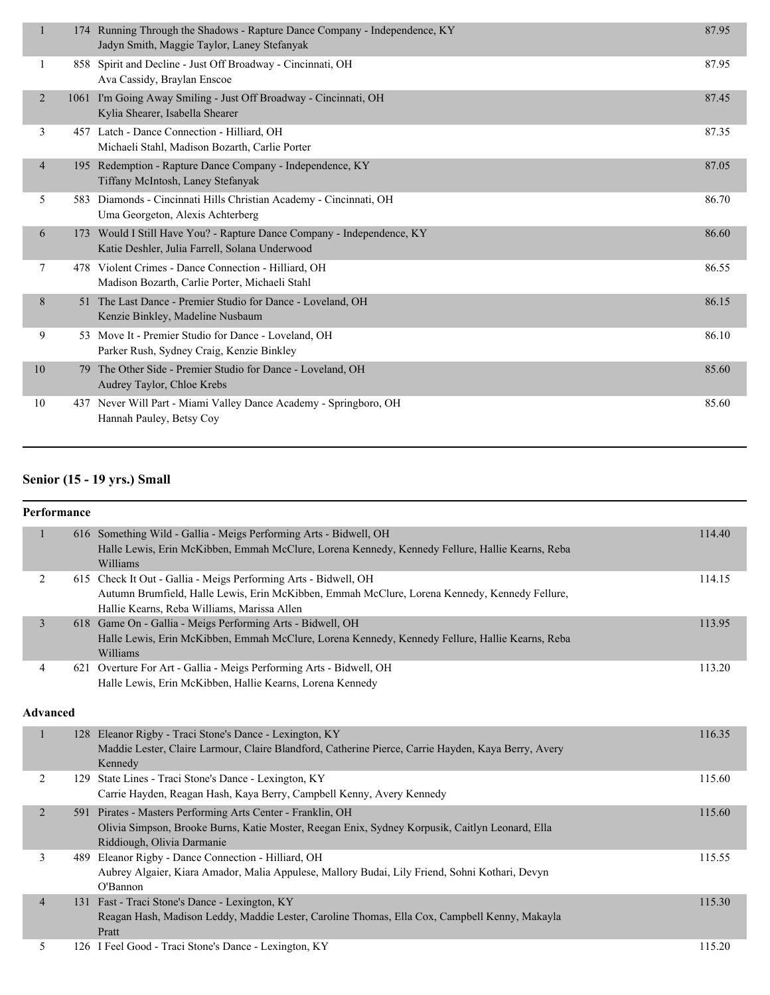| $\mathbf{1}$   |    | 174 Running Through the Shadows - Rapture Dance Company - Independence, KY<br>Jadyn Smith, Maggie Taylor, Laney Stefanyak | 87.95 |
|----------------|----|---------------------------------------------------------------------------------------------------------------------------|-------|
| -1             |    | 858 Spirit and Decline - Just Off Broadway - Cincinnati, OH<br>Ava Cassidy, Braylan Enscoe                                | 87.95 |
| 2              |    | 1061 I'm Going Away Smiling - Just Off Broadway - Cincinnati, OH<br>Kylia Shearer, Isabella Shearer                       | 87.45 |
| 3              |    | 457 Latch - Dance Connection - Hilliard, OH<br>Michaeli Stahl, Madison Bozarth, Carlie Porter                             | 87.35 |
| $\overline{4}$ |    | 195 Redemption - Rapture Dance Company - Independence, KY<br>Tiffany McIntosh, Laney Stefanyak                            | 87.05 |
| 5              |    | 583 Diamonds - Cincinnati Hills Christian Academy - Cincinnati, OH<br>Uma Georgeton, Alexis Achterberg                    | 86.70 |
| 6              |    | 173 Would I Still Have You? - Rapture Dance Company - Independence, KY<br>Katie Deshler, Julia Farrell, Solana Underwood  | 86.60 |
| 7              |    | 478 Violent Crimes - Dance Connection - Hilliard, OH<br>Madison Bozarth, Carlie Porter, Michaeli Stahl                    | 86.55 |
| 8              | 51 | The Last Dance - Premier Studio for Dance - Loveland, OH<br>Kenzie Binkley, Madeline Nusbaum                              | 86.15 |
| 9              |    | 53 Move It - Premier Studio for Dance - Loveland, OH<br>Parker Rush, Sydney Craig, Kenzie Binkley                         | 86.10 |
| 10             | 79 | The Other Side - Premier Studio for Dance - Loveland, OH<br>Audrey Taylor, Chloe Krebs                                    | 85.60 |
| 10             |    | 437 Never Will Part - Miami Valley Dance Academy - Springboro, OH<br>Hannah Pauley, Betsy Coy                             | 85.60 |
|                |    |                                                                                                                           |       |

#### **Senior (15 - 19 yrs.) Small**

| Performance     |                                                                                                                                                                                                                 |        |
|-----------------|-----------------------------------------------------------------------------------------------------------------------------------------------------------------------------------------------------------------|--------|
| $\mathbf{1}$    | 616 Something Wild - Gallia - Meigs Performing Arts - Bidwell, OH<br>Halle Lewis, Erin McKibben, Emmah McClure, Lorena Kennedy, Kennedy Fellure, Hallie Kearns, Reba<br>Williams                                | 114.40 |
| $\overline{c}$  | 615 Check It Out - Gallia - Meigs Performing Arts - Bidwell, OH<br>Autumn Brumfield, Halle Lewis, Erin McKibben, Emmah McClure, Lorena Kennedy, Kennedy Fellure,<br>Hallie Kearns, Reba Williams, Marissa Allen | 114.15 |
| 3               | 618 Game On - Gallia - Meigs Performing Arts - Bidwell, OH<br>Halle Lewis, Erin McKibben, Emmah McClure, Lorena Kennedy, Kennedy Fellure, Hallie Kearns, Reba<br>Williams                                       | 113.95 |
| 4               | 621 Overture For Art - Gallia - Meigs Performing Arts - Bidwell, OH<br>Halle Lewis, Erin McKibben, Hallie Kearns, Lorena Kennedy                                                                                | 113.20 |
| <b>Advanced</b> |                                                                                                                                                                                                                 |        |
| $\mathbf{1}$    | 128 Eleanor Rigby - Traci Stone's Dance - Lexington, KY<br>Maddie Lester, Claire Larmour, Claire Blandford, Catherine Pierce, Carrie Hayden, Kaya Berry, Avery<br>Kennedy                                       | 116.35 |
| 2               | 129 State Lines - Traci Stone's Dance - Lexington, KY<br>Carrie Hayden, Reagan Hash, Kaya Berry, Campbell Kenny, Avery Kennedy                                                                                  | 115.60 |
| $\overline{2}$  | 591 Pirates - Masters Performing Arts Center - Franklin, OH<br>Olivia Simpson, Brooke Burns, Katie Moster, Reegan Enix, Sydney Korpusik, Caitlyn Leonard, Ella<br>Riddiough, Olivia Darmanie                    | 115.60 |
| 3               | 489 Eleanor Rigby - Dance Connection - Hilliard, OH<br>Aubrey Algaier, Kiara Amador, Malia Appulese, Mallory Budai, Lily Friend, Sohni Kothari, Devyn<br>O'Bannon                                               | 115.55 |
| $\overline{4}$  | 131 Fast - Traci Stone's Dance - Lexington, KY<br>Reagan Hash, Madison Leddy, Maddie Lester, Caroline Thomas, Ella Cox, Campbell Kenny, Makayla<br>Pratt                                                        | 115.30 |
| 5               | 126 I Feel Good - Traci Stone's Dance - Lexington, KY                                                                                                                                                           | 115.20 |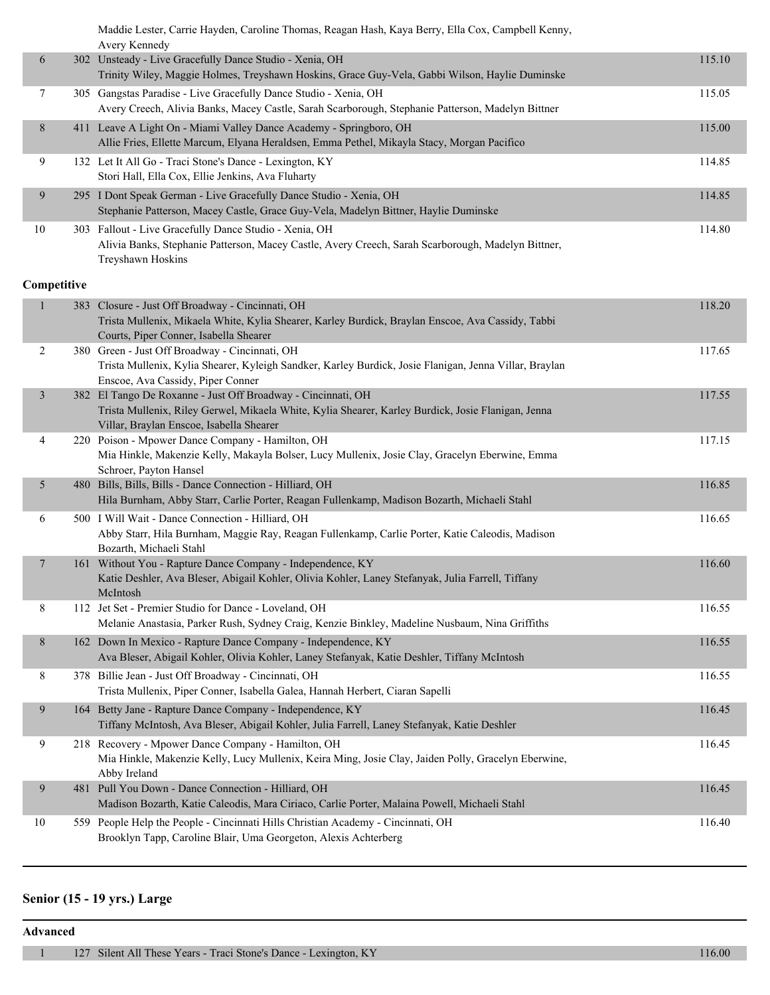Maddie Lester, Carrie Hayden, Caroline Thomas, Reagan Hash, Kaya Berry, Ella Cox, Campbell Kenny, Avery Kennedy

|    | 111111                                                                                                                                                                            |        |
|----|-----------------------------------------------------------------------------------------------------------------------------------------------------------------------------------|--------|
| 6  | 302 Unsteady - Live Gracefully Dance Studio - Xenia, OH<br>Trinity Wiley, Maggie Holmes, Treyshawn Hoskins, Grace Guy-Vela, Gabbi Wilson, Haylie Duminske                         | 115.10 |
|    | 305 Gangstas Paradise - Live Gracefully Dance Studio - Xenia, OH<br>Avery Creech, Alivia Banks, Macey Castle, Sarah Scarborough, Stephanie Patterson, Madelyn Bittner             | 115.05 |
| 8  | 411 Leave A Light On - Miami Valley Dance Academy - Springboro, OH<br>Allie Fries, Ellette Marcum, Elyana Heraldsen, Emma Pethel, Mikayla Stacy, Morgan Pacifico                  | 115.00 |
| 9  | 132 Let It All Go - Traci Stone's Dance - Lexington, KY<br>Stori Hall, Ella Cox, Ellie Jenkins, Ava Fluharty                                                                      | 114.85 |
| 9  | 295 I Dont Speak German - Live Gracefully Dance Studio - Xenia, OH<br>Stephanie Patterson, Macey Castle, Grace Guy-Vela, Madelyn Bittner, Haylie Duminske                         | 114.85 |
| 10 | 303 Fallout - Live Gracefully Dance Studio - Xenia, OH<br>Alivia Banks, Stephanie Patterson, Macey Castle, Avery Creech, Sarah Scarborough, Madelyn Bittner,<br>Treyshawn Hoskins | 114.80 |

#### **Competitive**

| $\mathbf{1}$            | 383 Closure - Just Off Broadway - Cincinnati, OH<br>Trista Mullenix, Mikaela White, Kylia Shearer, Karley Burdick, Braylan Enscoe, Ava Cassidy, Tabbi<br>Courts, Piper Conner, Isabella Shearer | 118.20 |
|-------------------------|-------------------------------------------------------------------------------------------------------------------------------------------------------------------------------------------------|--------|
|                         |                                                                                                                                                                                                 |        |
| $\overline{c}$          | 380 Green - Just Off Broadway - Cincinnati, OH                                                                                                                                                  | 117.65 |
|                         | Trista Mullenix, Kylia Shearer, Kyleigh Sandker, Karley Burdick, Josie Flanigan, Jenna Villar, Braylan                                                                                          |        |
|                         | Enscoe, Ava Cassidy, Piper Conner                                                                                                                                                               |        |
| $\overline{\mathbf{3}}$ | 382 El Tango De Roxanne - Just Off Broadway - Cincinnati, OH                                                                                                                                    | 117.55 |
|                         | Trista Mullenix, Riley Gerwel, Mikaela White, Kylia Shearer, Karley Burdick, Josie Flanigan, Jenna                                                                                              |        |
|                         | Villar, Braylan Enscoe, Isabella Shearer                                                                                                                                                        |        |
| 4                       | 220 Poison - Mpower Dance Company - Hamilton, OH                                                                                                                                                | 117.15 |
|                         | Mia Hinkle, Makenzie Kelly, Makayla Bolser, Lucy Mullenix, Josie Clay, Gracelyn Eberwine, Emma                                                                                                  |        |
|                         | Schroer, Payton Hansel                                                                                                                                                                          |        |
| 5                       | 480 Bills, Bills, Bills - Dance Connection - Hilliard, OH                                                                                                                                       | 116.85 |
|                         | Hila Burnham, Abby Starr, Carlie Porter, Reagan Fullenkamp, Madison Bozarth, Michaeli Stahl                                                                                                     |        |
|                         |                                                                                                                                                                                                 |        |
| 6                       | 500 I Will Wait - Dance Connection - Hilliard, OH                                                                                                                                               | 116.65 |
|                         | Abby Starr, Hila Burnham, Maggie Ray, Reagan Fullenkamp, Carlie Porter, Katie Caleodis, Madison                                                                                                 |        |
|                         | Bozarth, Michaeli Stahl                                                                                                                                                                         |        |
| $\overline{7}$          | 161 Without You - Rapture Dance Company - Independence, KY                                                                                                                                      | 116.60 |
|                         | Katie Deshler, Ava Bleser, Abigail Kohler, Olivia Kohler, Laney Stefanyak, Julia Farrell, Tiffany                                                                                               |        |
|                         | McIntosh                                                                                                                                                                                        |        |
| 8                       | 112 Jet Set - Premier Studio for Dance - Loveland, OH                                                                                                                                           | 116.55 |
|                         | Melanie Anastasia, Parker Rush, Sydney Craig, Kenzie Binkley, Madeline Nusbaum, Nina Griffiths                                                                                                  |        |
| $8\phantom{.}$          | 162 Down In Mexico - Rapture Dance Company - Independence, KY                                                                                                                                   | 116.55 |
|                         |                                                                                                                                                                                                 |        |
|                         | Ava Bleser, Abigail Kohler, Olivia Kohler, Laney Stefanyak, Katie Deshler, Tiffany McIntosh                                                                                                     |        |
| $8\,$                   | 378 Billie Jean - Just Off Broadway - Cincinnati, OH                                                                                                                                            | 116.55 |
|                         | Trista Mullenix, Piper Conner, Isabella Galea, Hannah Herbert, Ciaran Sapelli                                                                                                                   |        |
| 9                       | 164 Betty Jane - Rapture Dance Company - Independence, KY                                                                                                                                       | 116.45 |
|                         | Tiffany McIntosh, Ava Bleser, Abigail Kohler, Julia Farrell, Laney Stefanyak, Katie Deshler                                                                                                     |        |
|                         |                                                                                                                                                                                                 |        |
| 9                       | 218 Recovery - Mpower Dance Company - Hamilton, OH                                                                                                                                              | 116.45 |
|                         | Mia Hinkle, Makenzie Kelly, Lucy Mullenix, Keira Ming, Josie Clay, Jaiden Polly, Gracelyn Eberwine,                                                                                             |        |
|                         | Abby Ireland                                                                                                                                                                                    |        |
| 9                       | 481 Pull You Down - Dance Connection - Hilliard, OH                                                                                                                                             | 116.45 |
|                         | Madison Bozarth, Katie Caleodis, Mara Ciriaco, Carlie Porter, Malaina Powell, Michaeli Stahl                                                                                                    |        |
| 10                      | 559 People Help the People - Cincinnati Hills Christian Academy - Cincinnati, OH                                                                                                                | 116.40 |
|                         | Brooklyn Tapp, Caroline Blair, Uma Georgeton, Alexis Achterberg                                                                                                                                 |        |
|                         |                                                                                                                                                                                                 |        |

#### **Senior (15 - 19 yrs.) Large**

**Advanced**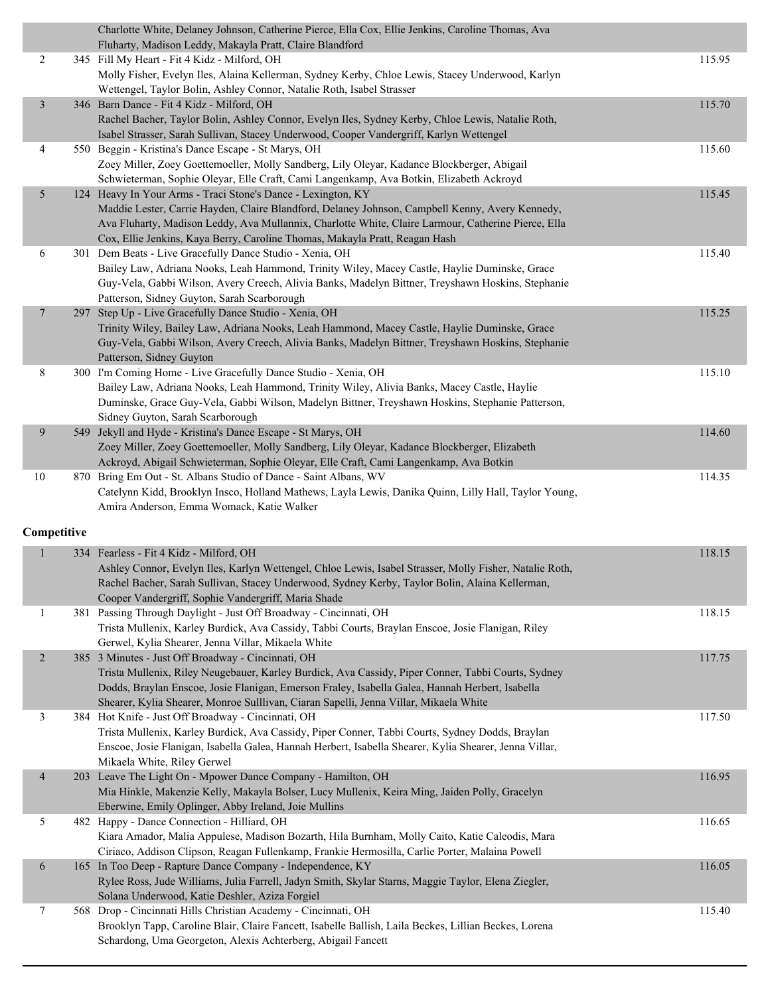|                          | Charlotte White, Delaney Johnson, Catherine Pierce, Ella Cox, Ellie Jenkins, Caroline Thomas, Ava<br>Fluharty, Madison Leddy, Makayla Pratt, Claire Blandford                            |        |
|--------------------------|------------------------------------------------------------------------------------------------------------------------------------------------------------------------------------------|--------|
| $\overline{c}$           | 345 Fill My Heart - Fit 4 Kidz - Milford, OH                                                                                                                                             | 115.95 |
|                          | Molly Fisher, Evelyn Iles, Alaina Kellerman, Sydney Kerby, Chloe Lewis, Stacey Underwood, Karlyn<br>Wettengel, Taylor Bolin, Ashley Connor, Natalie Roth, Isabel Strasser                |        |
| $\mathfrak{Z}$           | 346 Barn Dance - Fit 4 Kidz - Milford, OH                                                                                                                                                | 115.70 |
|                          | Rachel Bacher, Taylor Bolin, Ashley Connor, Evelyn Iles, Sydney Kerby, Chloe Lewis, Natalie Roth,                                                                                        |        |
|                          | Isabel Strasser, Sarah Sullivan, Stacey Underwood, Cooper Vandergriff, Karlyn Wettengel                                                                                                  |        |
| 4                        | 550 Beggin - Kristina's Dance Escape - St Marys, OH                                                                                                                                      | 115.60 |
|                          | Zoey Miller, Zoey Goettemoeller, Molly Sandberg, Lily Oleyar, Kadance Blockberger, Abigail                                                                                               |        |
|                          | Schwieterman, Sophie Oleyar, Elle Craft, Cami Langenkamp, Ava Botkin, Elizabeth Ackroyd                                                                                                  |        |
| 5                        | 124 Heavy In Your Arms - Traci Stone's Dance - Lexington, KY                                                                                                                             | 115.45 |
|                          | Maddie Lester, Carrie Hayden, Claire Blandford, Delaney Johnson, Campbell Kenny, Avery Kennedy,                                                                                          |        |
|                          | Ava Fluharty, Madison Leddy, Ava Mullannix, Charlotte White, Claire Larmour, Catherine Pierce, Ella                                                                                      |        |
|                          | Cox, Ellie Jenkins, Kaya Berry, Caroline Thomas, Makayla Pratt, Reagan Hash                                                                                                              |        |
| 6                        | 301 Dem Beats - Live Gracefully Dance Studio - Xenia, OH                                                                                                                                 | 115.40 |
|                          | Bailey Law, Adriana Nooks, Leah Hammond, Trinity Wiley, Macey Castle, Haylie Duminske, Grace                                                                                             |        |
|                          | Guy-Vela, Gabbi Wilson, Avery Creech, Alivia Banks, Madelyn Bittner, Treyshawn Hoskins, Stephanie                                                                                        |        |
|                          | Patterson, Sidney Guyton, Sarah Scarborough                                                                                                                                              |        |
| $\overline{7}$           | 297 Step Up - Live Gracefully Dance Studio - Xenia, OH                                                                                                                                   | 115.25 |
|                          | Trinity Wiley, Bailey Law, Adriana Nooks, Leah Hammond, Macey Castle, Haylie Duminske, Grace                                                                                             |        |
|                          | Guy-Vela, Gabbi Wilson, Avery Creech, Alivia Banks, Madelyn Bittner, Treyshawn Hoskins, Stephanie<br>Patterson, Sidney Guyton                                                            |        |
| 8                        | 300 I'm Coming Home - Live Gracefully Dance Studio - Xenia, OH                                                                                                                           | 115.10 |
|                          | Bailey Law, Adriana Nooks, Leah Hammond, Trinity Wiley, Alivia Banks, Macey Castle, Haylie                                                                                               |        |
|                          | Duminske, Grace Guy-Vela, Gabbi Wilson, Madelyn Bittner, Treyshawn Hoskins, Stephanie Patterson,                                                                                         |        |
|                          | Sidney Guyton, Sarah Scarborough                                                                                                                                                         |        |
| 9                        | 549 Jekyll and Hyde - Kristina's Dance Escape - St Marys, OH                                                                                                                             | 114.60 |
|                          | Zoey Miller, Zoey Goettemoeller, Molly Sandberg, Lily Oleyar, Kadance Blockberger, Elizabeth                                                                                             |        |
|                          | Ackroyd, Abigail Schwieterman, Sophie Oleyar, Elle Craft, Cami Langenkamp, Ava Botkin                                                                                                    |        |
| 10                       | 870 Bring Em Out - St. Albans Studio of Dance - Saint Albans, WV                                                                                                                         | 114.35 |
|                          | Catelynn Kidd, Brooklyn Insco, Holland Mathews, Layla Lewis, Danika Quinn, Lilly Hall, Taylor Young,                                                                                     |        |
|                          | Amira Anderson, Emma Womack, Katie Walker                                                                                                                                                |        |
| Competitive              |                                                                                                                                                                                          |        |
| $\mathbf{1}$             | 334 Fearless - Fit 4 Kidz - Milford, OH                                                                                                                                                  | 118.15 |
|                          | Ashley Connor, Evelyn Iles, Karlyn Wettengel, Chloe Lewis, Isabel Strasser, Molly Fisher, Natalie Roth,                                                                                  |        |
|                          | Rachel Bacher, Sarah Sullivan, Stacey Underwood, Sydney Kerby, Taylor Bolin, Alaina Kellerman,                                                                                           |        |
|                          | Cooper Vandergriff, Sophie Vandergriff, Maria Shade                                                                                                                                      |        |
| 1                        | 381 Passing Through Daylight - Just Off Broadway - Cincinnati, OH                                                                                                                        | 118.15 |
|                          | Trista Mullenix, Karley Burdick, Ava Cassidy, Tabbi Courts, Braylan Enscoe, Josie Flanigan, Riley                                                                                        |        |
|                          | Gerwel, Kylia Shearer, Jenna Villar, Mikaela White                                                                                                                                       |        |
| $\overline{2}$           | 385 3 Minutes - Just Off Broadway - Cincinnati, OH                                                                                                                                       | 117.75 |
|                          | Trista Mullenix, Riley Neugebauer, Karley Burdick, Ava Cassidy, Piper Conner, Tabbi Courts, Sydney                                                                                       |        |
|                          | Dodds, Braylan Enscoe, Josie Flanigan, Emerson Fraley, Isabella Galea, Hannah Herbert, Isabella<br>Shearer, Kylia Shearer, Monroe Sulllivan, Ciaran Sapelli, Jenna Villar, Mikaela White |        |
| 3                        | 384 Hot Knife - Just Off Broadway - Cincinnati, OH                                                                                                                                       | 117.50 |
|                          | Trista Mullenix, Karley Burdick, Ava Cassidy, Piper Conner, Tabbi Courts, Sydney Dodds, Braylan                                                                                          |        |
|                          | Enscoe, Josie Flanigan, Isabella Galea, Hannah Herbert, Isabella Shearer, Kylia Shearer, Jenna Villar,                                                                                   |        |
|                          | Mikaela White, Riley Gerwel                                                                                                                                                              |        |
| $\overline{\mathcal{A}}$ | 203 Leave The Light On - Mpower Dance Company - Hamilton, OH                                                                                                                             | 116.95 |
|                          | Mia Hinkle, Makenzie Kelly, Makayla Bolser, Lucy Mullenix, Keira Ming, Jaiden Polly, Gracelyn                                                                                            |        |
|                          | Eberwine, Emily Oplinger, Abby Ireland, Joie Mullins                                                                                                                                     |        |
| 5                        | 482 Happy - Dance Connection - Hilliard, OH                                                                                                                                              | 116.65 |
|                          | Kiara Amador, Malia Appulese, Madison Bozarth, Hila Burnham, Molly Caito, Katie Caleodis, Mara                                                                                           |        |
|                          | Ciriaco, Addison Clipson, Reagan Fullenkamp, Frankie Hermosilla, Carlie Porter, Malaina Powell                                                                                           |        |
| 6                        | 165 In Too Deep - Rapture Dance Company - Independence, KY                                                                                                                               | 116.05 |
|                          | Rylee Ross, Jude Williams, Julia Farrell, Jadyn Smith, Skylar Starns, Maggie Taylor, Elena Ziegler,                                                                                      |        |
| 7                        | Solana Underwood, Katie Deshler, Aziza Forgiel<br>568 Drop - Cincinnati Hills Christian Academy - Cincinnati, OH                                                                         | 115.40 |
|                          | Brooklyn Tapp, Caroline Blair, Claire Fancett, Isabelle Ballish, Laila Beckes, Lillian Beckes, Lorena                                                                                    |        |
|                          | Schardong, Uma Georgeton, Alexis Achterberg, Abigail Fancett                                                                                                                             |        |
|                          |                                                                                                                                                                                          |        |